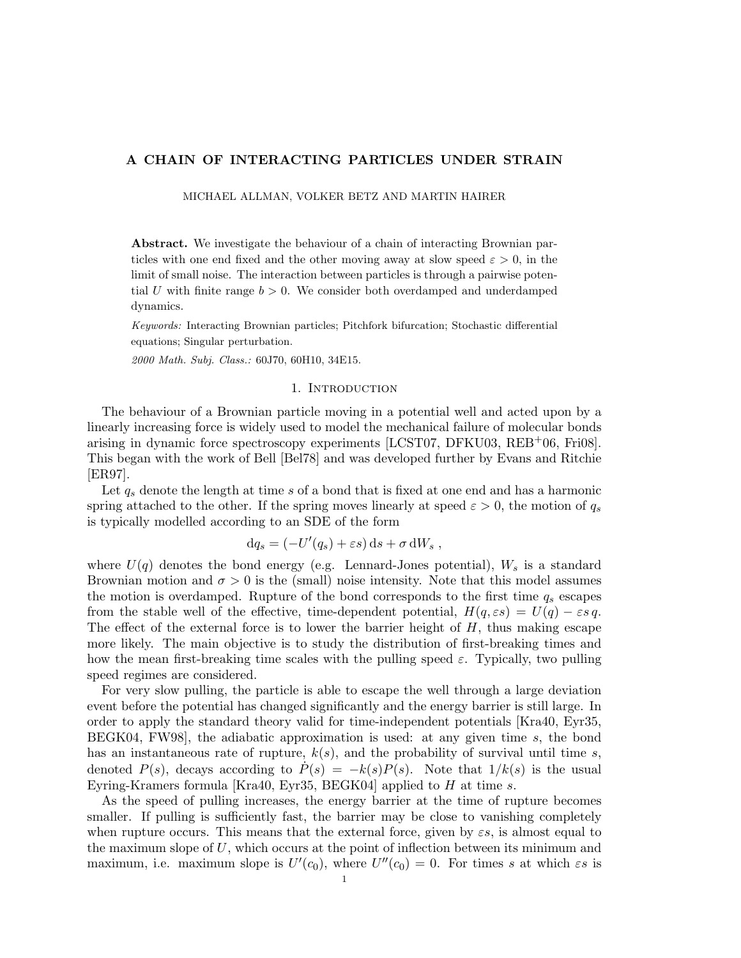# A CHAIN OF INTERACTING PARTICLES UNDER STRAIN

MICHAEL ALLMAN, VOLKER BETZ AND MARTIN HAIRER

Abstract. We investigate the behaviour of a chain of interacting Brownian particles with one end fixed and the other moving away at slow speed  $\varepsilon > 0$ , in the limit of small noise. The interaction between particles is through a pairwise potential U with finite range  $b > 0$ . We consider both overdamped and underdamped dynamics.

Keywords: Interacting Brownian particles; Pitchfork bifurcation; Stochastic differential equations; Singular perturbation.

2000 Math. Subj. Class.: 60J70, 60H10, 34E15.

#### 1. INTRODUCTION

The behaviour of a Brownian particle moving in a potential well and acted upon by a linearly increasing force is widely used to model the mechanical failure of molecular bonds arising in dynamic force spectroscopy experiments [LCST07, DFKU03, REB+06, Fri08]. This began with the work of Bell [Bel78] and was developed further by Evans and Ritchie [ER97].

Let  $q_s$  denote the length at time s of a bond that is fixed at one end and has a harmonic spring attached to the other. If the spring moves linearly at speed  $\varepsilon > 0$ , the motion of  $q_s$ is typically modelled according to an SDE of the form

$$
dq_s = (-U'(q_s) + \varepsilon s) ds + \sigma dW_s,
$$

where  $U(q)$  denotes the bond energy (e.g. Lennard-Jones potential),  $W_s$  is a standard Brownian motion and  $\sigma > 0$  is the (small) noise intensity. Note that this model assumes the motion is overdamped. Rupture of the bond corresponds to the first time  $q_s$  escapes from the stable well of the effective, time-dependent potential,  $H(q,\varepsilon s) = U(q) - \varepsilon s q$ . The effect of the external force is to lower the barrier height of  $H$ , thus making escape more likely. The main objective is to study the distribution of first-breaking times and how the mean first-breaking time scales with the pulling speed  $\varepsilon$ . Typically, two pulling speed regimes are considered.

For very slow pulling, the particle is able to escape the well through a large deviation event before the potential has changed significantly and the energy barrier is still large. In order to apply the standard theory valid for time-independent potentials [Kra40, Eyr35, BEGK04, FW98], the adiabatic approximation is used: at any given time s, the bond has an instantaneous rate of rupture,  $k(s)$ , and the probability of survival until time s, denoted  $P(s)$ , decays according to  $P(s) = -k(s)P(s)$ . Note that  $1/k(s)$  is the usual Eyring-Kramers formula [Kra40, Eyr35, BEGK04] applied to  $H$  at time  $s$ .

As the speed of pulling increases, the energy barrier at the time of rupture becomes smaller. If pulling is sufficiently fast, the barrier may be close to vanishing completely when rupture occurs. This means that the external force, given by  $\epsilon s$ , is almost equal to the maximum slope of  $U$ , which occurs at the point of inflection between its minimum and maximum, i.e. maximum slope is  $U'(c_0)$ , where  $U''(c_0) = 0$ . For times s at which  $\epsilon s$  is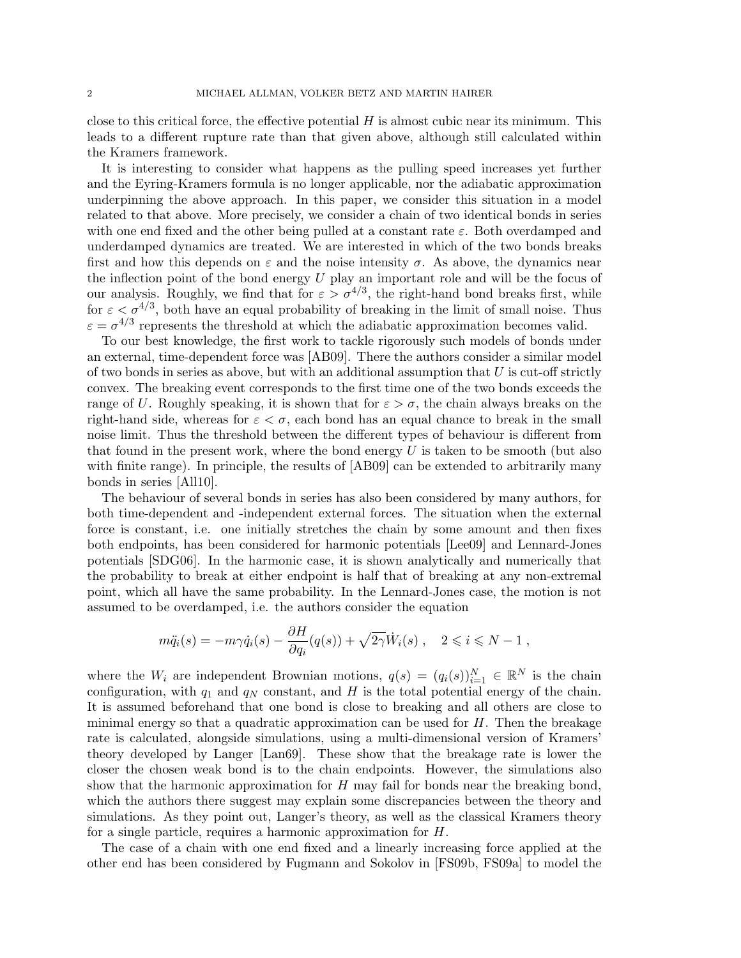close to this critical force, the effective potential  $H$  is almost cubic near its minimum. This leads to a different rupture rate than that given above, although still calculated within the Kramers framework.

It is interesting to consider what happens as the pulling speed increases yet further and the Eyring-Kramers formula is no longer applicable, nor the adiabatic approximation underpinning the above approach. In this paper, we consider this situation in a model related to that above. More precisely, we consider a chain of two identical bonds in series with one end fixed and the other being pulled at a constant rate  $\varepsilon$ . Both overdamped and underdamped dynamics are treated. We are interested in which of the two bonds breaks first and how this depends on  $\varepsilon$  and the noise intensity  $\sigma$ . As above, the dynamics near the inflection point of the bond energy  $U$  play an important role and will be the focus of our analysis. Roughly, we find that for  $\varepsilon > \sigma^{4/3}$ , the right-hand bond breaks first, while for  $\varepsilon < \sigma^{4/3}$ , both have an equal probability of breaking in the limit of small noise. Thus  $\varepsilon = \sigma^{4/3}$  represents the threshold at which the adiabatic approximation becomes valid.

To our best knowledge, the first work to tackle rigorously such models of bonds under an external, time-dependent force was [AB09]. There the authors consider a similar model of two bonds in series as above, but with an additional assumption that  $U$  is cut-off strictly convex. The breaking event corresponds to the first time one of the two bonds exceeds the range of U. Roughly speaking, it is shown that for  $\varepsilon > \sigma$ , the chain always breaks on the right-hand side, whereas for  $\varepsilon < \sigma$ , each bond has an equal chance to break in the small noise limit. Thus the threshold between the different types of behaviour is different from that found in the present work, where the bond energy  $U$  is taken to be smooth (but also with finite range). In principle, the results of [AB09] can be extended to arbitrarily many bonds in series [All10].

The behaviour of several bonds in series has also been considered by many authors, for both time-dependent and -independent external forces. The situation when the external force is constant, i.e. one initially stretches the chain by some amount and then fixes both endpoints, has been considered for harmonic potentials [Lee09] and Lennard-Jones potentials [SDG06]. In the harmonic case, it is shown analytically and numerically that the probability to break at either endpoint is half that of breaking at any non-extremal point, which all have the same probability. In the Lennard-Jones case, the motion is not assumed to be overdamped, i.e. the authors consider the equation

$$
m\ddot{q}_i(s) = -m\gamma \dot{q}_i(s) - \frac{\partial H}{\partial q_i}(q(s)) + \sqrt{2\gamma} \dot{W}_i(s) , \quad 2 \leqslant i \leqslant N-1 ,
$$

where the  $W_i$  are independent Brownian motions,  $q(s) = (q_i(s))_{i=1}^N \in \mathbb{R}^N$  is the chain configuration, with  $q_1$  and  $q_N$  constant, and H is the total potential energy of the chain. It is assumed beforehand that one bond is close to breaking and all others are close to minimal energy so that a quadratic approximation can be used for  $H$ . Then the breakage rate is calculated, alongside simulations, using a multi-dimensional version of Kramers' theory developed by Langer [Lan69]. These show that the breakage rate is lower the closer the chosen weak bond is to the chain endpoints. However, the simulations also show that the harmonic approximation for  $H$  may fail for bonds near the breaking bond, which the authors there suggest may explain some discrepancies between the theory and simulations. As they point out, Langer's theory, as well as the classical Kramers theory for a single particle, requires a harmonic approximation for H.

The case of a chain with one end fixed and a linearly increasing force applied at the other end has been considered by Fugmann and Sokolov in [FS09b, FS09a] to model the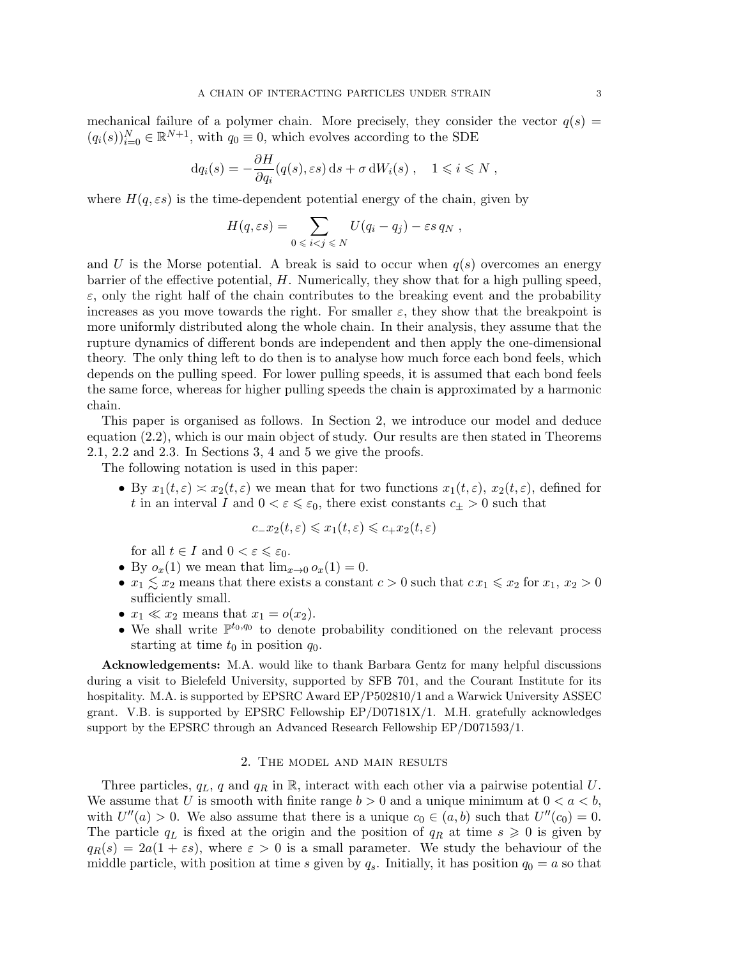mechanical failure of a polymer chain. More precisely, they consider the vector  $q(s)$  =  $(q_i(s))_{i=0}^N \in \mathbb{R}^{N+1}$ , with  $q_0 \equiv 0$ , which evolves according to the SDE

$$
dq_i(s) = -\frac{\partial H}{\partial q_i}(q(s),\varepsilon s) ds + \sigma dW_i(s) , \quad 1 \leqslant i \leqslant N ,
$$

where  $H(q, \varepsilon s)$  is the time-dependent potential energy of the chain, given by

$$
H(q,\varepsilon s) = \sum_{0 \leqslant i < j \leqslant N} U(q_i - q_j) - \varepsilon s \, q_N \;,
$$

and U is the Morse potential. A break is said to occur when  $q(s)$  overcomes an energy barrier of the effective potential,  $H$ . Numerically, they show that for a high pulling speed,  $\varepsilon$ , only the right half of the chain contributes to the breaking event and the probability increases as you move towards the right. For smaller  $\varepsilon$ , they show that the breakpoint is more uniformly distributed along the whole chain. In their analysis, they assume that the rupture dynamics of different bonds are independent and then apply the one-dimensional theory. The only thing left to do then is to analyse how much force each bond feels, which depends on the pulling speed. For lower pulling speeds, it is assumed that each bond feels the same force, whereas for higher pulling speeds the chain is approximated by a harmonic chain.

This paper is organised as follows. In Section 2, we introduce our model and deduce equation (2.2), which is our main object of study. Our results are then stated in Theorems 2.1, 2.2 and 2.3. In Sections 3, 4 and 5 we give the proofs.

The following notation is used in this paper:

• By  $x_1(t,\varepsilon) \approx x_2(t,\varepsilon)$  we mean that for two functions  $x_1(t,\varepsilon)$ ,  $x_2(t,\varepsilon)$ , defined for t in an interval I and  $0 < \varepsilon \leq \varepsilon_0$ , there exist constants  $c_{\pm} > 0$  such that

$$
c_{-}x_{2}(t,\varepsilon)\leqslant x_{1}(t,\varepsilon)\leqslant c_{+}x_{2}(t,\varepsilon)
$$

for all  $t \in I$  and  $0 < \varepsilon \leqslant \varepsilon_0$ .

- By  $o_x(1)$  we mean that  $\lim_{x\to 0} o_x(1) = 0$ .
- $x_1 \lesssim x_2$  means that there exists a constant  $c > 0$  such that  $c x_1 \leq x_2$  for  $x_1, x_2 > 0$ sufficiently small.
- $x_1 \ll x_2$  means that  $x_1 = o(x_2)$ .
- We shall write  $\mathbb{P}^{t_0,q_0}$  to denote probability conditioned on the relevant process starting at time  $t_0$  in position  $q_0$ .

Acknowledgements: M.A. would like to thank Barbara Gentz for many helpful discussions during a visit to Bielefeld University, supported by SFB 701, and the Courant Institute for its hospitality. M.A. is supported by EPSRC Award EP/P502810/1 and a Warwick University ASSEC grant. V.B. is supported by EPSRC Fellowship EP/D07181X/1. M.H. gratefully acknowledges support by the EPSRC through an Advanced Research Fellowship EP/D071593/1.

# 2. The model and main results

Three particles,  $q_L$ , q and  $q_R$  in R, interact with each other via a pairwise potential U. We assume that U is smooth with finite range  $b > 0$  and a unique minimum at  $0 < a < b$ , with  $U''(a) > 0$ . We also assume that there is a unique  $c_0 \in (a, b)$  such that  $U''(c_0) = 0$ . The particle  $q_L$  is fixed at the origin and the position of  $q_R$  at time  $s \geq 0$  is given by  $q_R(s) = 2a(1 + \varepsilon s)$ , where  $\varepsilon > 0$  is a small parameter. We study the behaviour of the middle particle, with position at time s given by  $q_s$ . Initially, it has position  $q_0 = a$  so that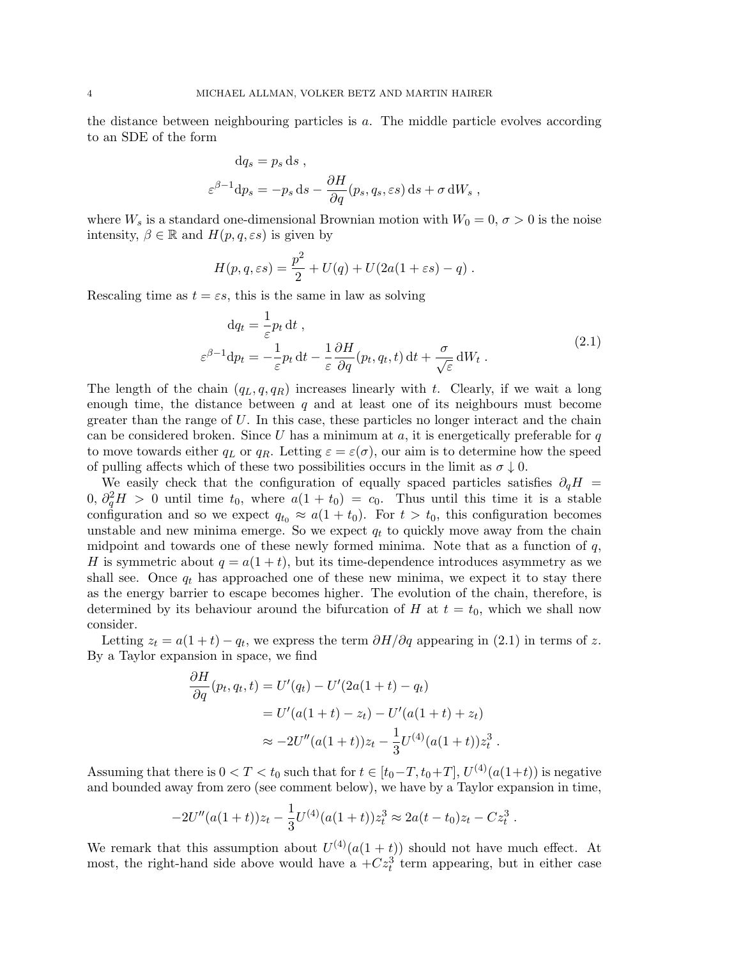the distance between neighbouring particles is a. The middle particle evolves according to an SDE of the form

$$
dq_s = p_s ds ,
$$
  

$$
\varepsilon^{\beta - 1} dp_s = -p_s ds - \frac{\partial H}{\partial q}(p_s, q_s, \varepsilon s) ds + \sigma dW_s ,
$$

where  $W_s$  is a standard one-dimensional Brownian motion with  $W_0 = 0, \sigma > 0$  is the noise intensity,  $\beta \in \mathbb{R}$  and  $H(p,q,\varepsilon s)$  is given by

$$
H(p,q,\varepsilon s) = \frac{p^2}{2} + U(q) + U(2a(1+\varepsilon s) - q) .
$$

Rescaling time as  $t = \varepsilon s$ , this is the same in law as solving

$$
dq_t = \frac{1}{\varepsilon} p_t dt ,
$$
  

$$
\varepsilon^{\beta - 1} dp_t = -\frac{1}{\varepsilon} p_t dt - \frac{1}{\varepsilon} \frac{\partial H}{\partial q} (p_t, q_t, t) dt + \frac{\sigma}{\sqrt{\varepsilon}} dW_t .
$$
 (2.1)

The length of the chain  $(q_L, q, q_R)$  increases linearly with t. Clearly, if we wait a long enough time, the distance between  $q$  and at least one of its neighbours must become greater than the range of  $U$ . In this case, these particles no longer interact and the chain can be considered broken. Since U has a minimum at  $a$ , it is energetically preferable for q to move towards either  $q_L$  or  $q_R$ . Letting  $\varepsilon = \varepsilon(\sigma)$ , our aim is to determine how the speed of pulling affects which of these two possibilities occurs in the limit as  $\sigma \downarrow 0$ .

We easily check that the configuration of equally spaced particles satisfies  $\partial_q H$  = 0,  $\partial_q^2 H > 0$  until time  $t_0$ , where  $a(1 + t_0) = c_0$ . Thus until this time it is a stable configuration and so we expect  $q_{t_0} \approx a(1 + t_0)$ . For  $t > t_0$ , this configuration becomes unstable and new minima emerge. So we expect  $q_t$  to quickly move away from the chain midpoint and towards one of these newly formed minima. Note that as a function of  $q$ , H is symmetric about  $q = a(1 + t)$ , but its time-dependence introduces asymmetry as we shall see. Once  $q_t$  has approached one of these new minima, we expect it to stay there as the energy barrier to escape becomes higher. The evolution of the chain, therefore, is determined by its behaviour around the bifurcation of H at  $t = t_0$ , which we shall now consider.

Letting  $z_t = a(1 + t) - q_t$ , we express the term  $\partial H/\partial q$  appearing in (2.1) in terms of z. By a Taylor expansion in space, we find

$$
\frac{\partial H}{\partial q}(p_t, q_t, t) = U'(q_t) - U'(2a(1+t) - q_t)
$$
  
=  $U'(a(1+t) - z_t) - U'(a(1+t) + z_t)$   
 $\approx -2U''(a(1+t))z_t - \frac{1}{3}U^{(4)}(a(1+t))z_t^3$ .

Assuming that there is  $0 < T < t_0$  such that for  $t \in [t_0-T, t_0+T]$ ,  $U^{(4)}(a(1+t))$  is negative and bounded away from zero (see comment below), we have by a Taylor expansion in time,

$$
-2U''(a(1+t))z_t - \frac{1}{3}U^{(4)}(a(1+t))z_t^3 \approx 2a(t-t_0)z_t - Cz_t^3.
$$

We remark that this assumption about  $U^{(4)}(a(1 + t))$  should not have much effect. At most, the right-hand side above would have a  $+Cz_t^3$  term appearing, but in either case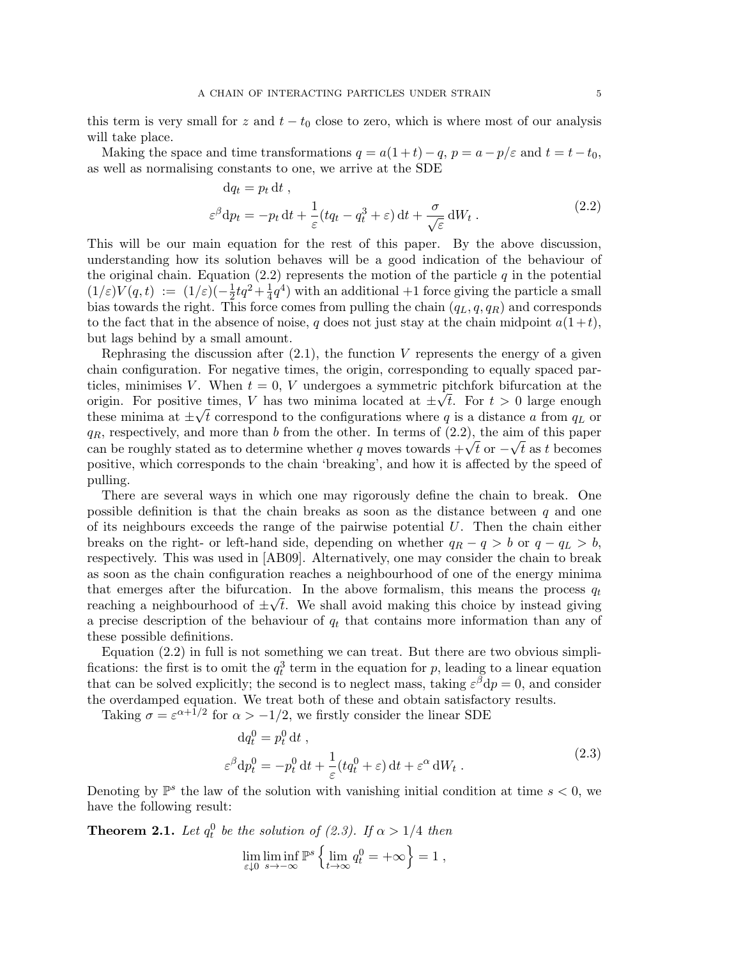this term is very small for z and  $t - t_0$  close to zero, which is where most of our analysis will take place.

Making the space and time transformations  $q = a(1 + t) - q$ ,  $p = a - p/\varepsilon$  and  $t = t - t_0$ , as well as normalising constants to one, we arrive at the SDE

$$
dq_t = p_t dt ,
$$
  
\n
$$
\varepsilon^{\beta} dp_t = -p_t dt + \frac{1}{\varepsilon} (t q_t - q_t^3 + \varepsilon) dt + \frac{\sigma}{\sqrt{\varepsilon}} dW_t .
$$
\n(2.2)

This will be our main equation for the rest of this paper. By the above discussion, understanding how its solution behaves will be a good indication of the behaviour of the original chain. Equation (2.2) represents the motion of the particle  $q$  in the potential  $(1/\varepsilon)V(q,t) := (1/\varepsilon)(-\frac{1}{2})$  $rac{1}{2}tq^2 + \frac{1}{4}$  $\frac{1}{4}q^4$ ) with an additional +1 force giving the particle a small bias towards the right. This force comes from pulling the chain  $(q_L, q, q_R)$  and corresponds to the fact that in the absence of noise, q does not just stay at the chain midpoint  $a(1+t)$ , but lags behind by a small amount.

Rephrasing the discussion after  $(2.1)$ , the function V represents the energy of a given chain configuration. For negative times, the origin, corresponding to equally spaced particles, minimises V. When  $t = 0, V$  undergoes a symmetric pitchfork bifurcation at the origin. For positive times, V has two minima located at  $\pm \sqrt{t}$ . For  $t > 0$  large enough these minima at  $\pm\sqrt{t}$  correspond to the configurations where q is a distance a from  $q_L$  or  $q_R$ , respectively, and more than b from the other. In terms of (2.2), the aim of this paper  $q_R$ , respectively, and more than *o* from the other. In terms of (2.2), the aim of this paper<br>can be roughly stated as to determine whether q moves towards  $+\sqrt{t}$  or  $-\sqrt{t}$  as t becomes positive, which corresponds to the chain 'breaking', and how it is affected by the speed of pulling.

There are several ways in which one may rigorously define the chain to break. One possible definition is that the chain breaks as soon as the distance between  $q$  and one of its neighbours exceeds the range of the pairwise potential  $U$ . Then the chain either breaks on the right- or left-hand side, depending on whether  $q_R - q > b$  or  $q - q_L > b$ , respectively. This was used in [AB09]. Alternatively, one may consider the chain to break as soon as the chain configuration reaches a neighbourhood of one of the energy minima that emerges after the bifurcation. In the above formalism, this means the process  $q_t$ reaching a neighbourhood of  $\pm\sqrt{t}$ . We shall avoid making this choice by instead giving a precise description of the behaviour of  $q_t$  that contains more information than any of these possible definitions.

Equation (2.2) in full is not something we can treat. But there are two obvious simplifications: the first is to omit the  $q_t^3$  term in the equation for p, leading to a linear equation that can be solved explicitly; the second is to neglect mass, taking  $\varepsilon^{\beta}dp = 0$ , and consider the overdamped equation. We treat both of these and obtain satisfactory results.

Taking  $\sigma = \varepsilon^{\alpha+1/2}$  for  $\alpha > -1/2$ , we firstly consider the linear SDE

$$
dq_t^0 = p_t^0 dt ,
$$
  
\n
$$
\varepsilon^{\beta} dp_t^0 = -p_t^0 dt + \frac{1}{\varepsilon} (t q_t^0 + \varepsilon) dt + \varepsilon^{\alpha} dW_t .
$$
\n(2.3)

Denoting by  $\mathbb{P}^s$  the law of the solution with vanishing initial condition at time  $s < 0$ , we have the following result:

**Theorem 2.1.** Let  $q_t^0$  be the solution of (2.3). If  $\alpha > 1/4$  then

$$
\lim_{\varepsilon \downarrow 0} \liminf_{s \to -\infty} \mathbb{P}^s \left\{ \lim_{t \to \infty} q_t^0 = +\infty \right\} = 1 ,
$$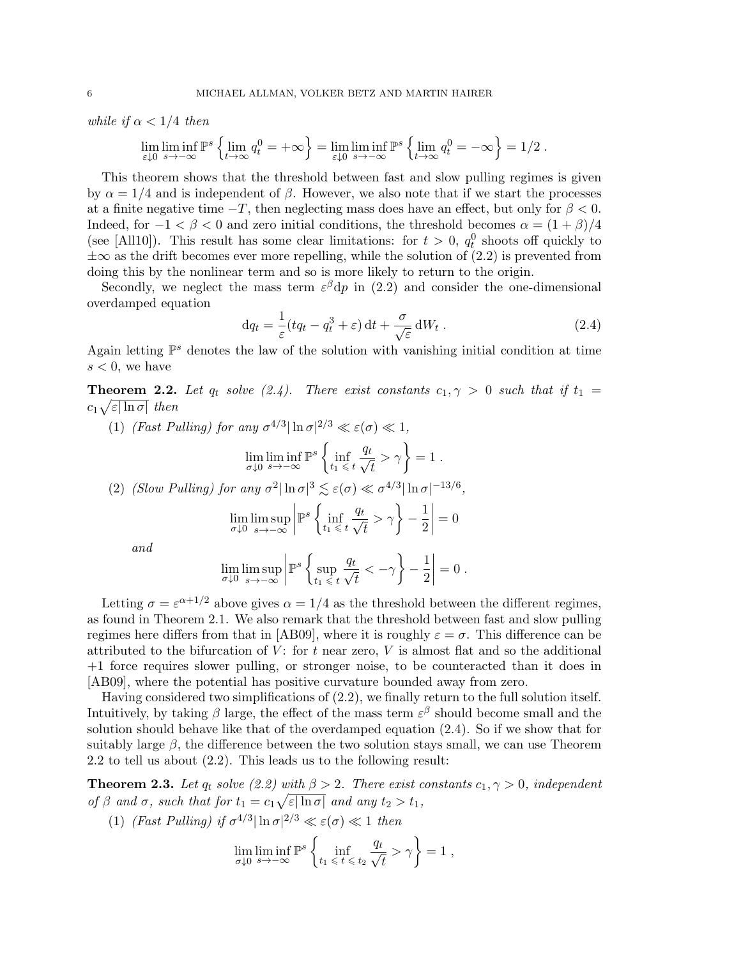while if  $\alpha < 1/4$  then

$$
\lim_{\varepsilon \downarrow 0} \liminf_{s \to -\infty} \mathbb{P}^s \left\{ \lim_{t \to \infty} q_t^0 = +\infty \right\} = \lim_{\varepsilon \downarrow 0} \liminf_{s \to -\infty} \mathbb{P}^s \left\{ \lim_{t \to \infty} q_t^0 = -\infty \right\} = 1/2.
$$

This theorem shows that the threshold between fast and slow pulling regimes is given by  $\alpha = 1/4$  and is independent of  $\beta$ . However, we also note that if we start the processes at a finite negative time  $-T$ , then neglecting mass does have an effect, but only for  $\beta < 0$ . Indeed, for  $-1 < \beta < 0$  and zero initial conditions, the threshold becomes  $\alpha = (1 + \beta)/4$ (see [All10]). This result has some clear limitations: for  $t > 0$ ,  $q_t^0$  shoots off quickly to  $\pm\infty$  as the drift becomes ever more repelling, while the solution of (2.2) is prevented from doing this by the nonlinear term and so is more likely to return to the origin.

Secondly, we neglect the mass term  $\varepsilon^{\beta}dp$  in (2.2) and consider the one-dimensional overdamped equation

$$
\mathrm{d}q_t = \frac{1}{\varepsilon}(tq_t - q_t^3 + \varepsilon) \,\mathrm{d}t + \frac{\sigma}{\sqrt{\varepsilon}} \,\mathrm{d}W_t \,. \tag{2.4}
$$

Again letting  $\mathbb{P}^s$  denotes the law of the solution with vanishing initial condition at time  $s < 0$ , we have

**Theorem 2.2.** Let  $q_t$  solve (2.4). There exist constants  $c_1, \gamma > 0$  such that if  $t_1 =$  $c_1\sqrt{\varepsilon|\ln \sigma|}$  then

(1) (Fast Pulling) for any  $\sigma^{4/3}|\ln \sigma|^{2/3} \ll \varepsilon(\sigma) \ll 1$ ,

$$
\lim_{\sigma \downarrow 0} \liminf_{s \to -\infty} \mathbb{P}^s \left\{ \inf_{t_1 \leq t} \frac{q_t}{\sqrt{t}} > \gamma \right\} = 1.
$$

(2) (Slow Pulling) for any  $\sigma^2 |\ln \sigma|^3 \lesssim \varepsilon(\sigma) \ll \sigma^{4/3} |\ln \sigma|^{-13/6}$ ,

$$
\lim_{\sigma \downarrow 0} \lim_{s \to -\infty} \left| \mathbb{P}^s \left\{ \inf_{t_1 \leq t} \frac{q_t}{\sqrt{t}} > \gamma \right\} - \frac{1}{2} \right| = 0
$$

and

$$
\lim_{\sigma \downarrow 0} \lim_{s \to -\infty} \left| \mathbb{P}^s \left\{ \sup_{t_1 \leq t} \frac{q_t}{\sqrt{t}} < -\gamma \right\} - \frac{1}{2} \right| = 0.
$$

Letting  $\sigma = \varepsilon^{\alpha+1/2}$  above gives  $\alpha = 1/4$  as the threshold between the different regimes, as found in Theorem 2.1. We also remark that the threshold between fast and slow pulling regimes here differs from that in [AB09], where it is roughly  $\varepsilon = \sigma$ . This difference can be attributed to the bifurcation of  $V$ : for t near zero,  $V$  is almost flat and so the additional +1 force requires slower pulling, or stronger noise, to be counteracted than it does in [AB09], where the potential has positive curvature bounded away from zero.

Having considered two simplifications of (2.2), we finally return to the full solution itself. Intuitively, by taking  $\beta$  large, the effect of the mass term  $\varepsilon^{\beta}$  should become small and the solution should behave like that of the overdamped equation (2.4). So if we show that for suitably large  $\beta$ , the difference between the two solution stays small, we can use Theorem 2.2 to tell us about (2.2). This leads us to the following result:

**Theorem 2.3.** Let  $q_t$  solve (2.2) with  $\beta > 2$ . There exist constants  $c_1, \gamma > 0$ , independent of  $\beta$  and  $\sigma$ , such that for  $t_1 = c_1 \sqrt{\varepsilon |\ln \sigma|}$  and any  $t_2 > t_1$ ,

(1) (Fast Pulling) if  $\sigma^{4/3}|\ln \sigma|^{2/3} \ll \varepsilon(\sigma) \ll 1$  then

$$
\lim_{\sigma \downarrow 0} \liminf_{s \to -\infty} \mathbb{P}^s \left\{ \inf_{t_1 \leq t \leq t_2} \frac{q_t}{\sqrt{t}} > \gamma \right\} = 1 ,
$$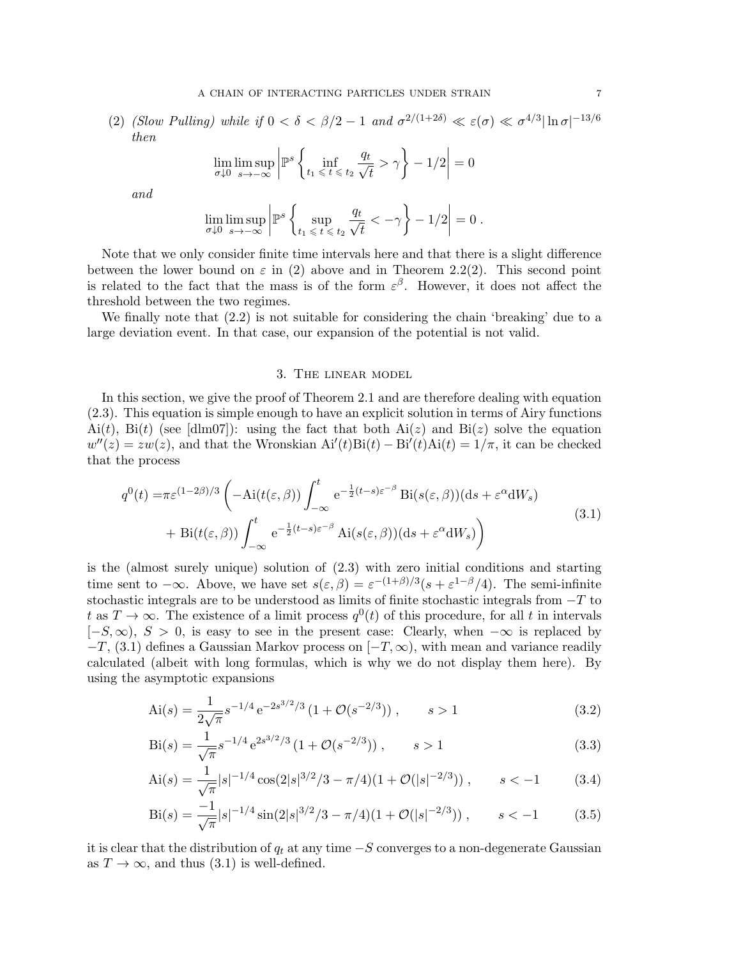(2) (Slow Pulling) while if  $0 < \delta < \beta/2 - 1$  and  $\sigma^{2/(1+2\delta)} \ll \varepsilon(\sigma) \ll \sigma^{4/3} |\ln \sigma|^{-13/6}$ then

$$
\lim_{\sigma \downarrow 0} \lim_{s \to -\infty} \left| \mathbb{P}^s \left\{ \inf_{t_1 \leq t \leq t_2} \frac{q_t}{\sqrt{t}} > \gamma \right\} - 1/2 \right| = 0
$$

and

$$
\lim_{\sigma \downarrow 0} \lim_{s \to -\infty} \left| \mathbb{P}^s \left\{ \sup_{t_1 \leq t \leq t_2} \frac{q_t}{\sqrt{t}} < -\gamma \right\} - 1/2 \right| = 0.
$$

Note that we only consider finite time intervals here and that there is a slight difference between the lower bound on  $\varepsilon$  in (2) above and in Theorem 2.2(2). This second point is related to the fact that the mass is of the form  $\varepsilon^{\beta}$ . However, it does not affect the threshold between the two regimes.

We finally note that (2.2) is not suitable for considering the chain 'breaking' due to a large deviation event. In that case, our expansion of the potential is not valid.

#### 3. The linear model

In this section, we give the proof of Theorem 2.1 and are therefore dealing with equation (2.3). This equation is simple enough to have an explicit solution in terms of Airy functions  $Ai(t)$ ,  $Bi(t)$  (see [dlm07]): using the fact that both  $Ai(z)$  and  $Bi(z)$  solve the equation  $w''(z) = zw(z)$ , and that the Wronskian  $Ai'(t)Bi(t) - Bi'(t)Ai(t) = 1/\pi$ , it can be checked that the process

$$
q^{0}(t) = \pi \varepsilon^{(1-2\beta)/3} \left( -\text{Ai}(t(\varepsilon,\beta)) \int_{-\infty}^{t} e^{-\frac{1}{2}(t-s)\varepsilon^{-\beta}} \text{Bi}(s(\varepsilon,\beta))(\text{d}s + \varepsilon^{\alpha}\text{d}W_{s}) + \text{Bi}(t(\varepsilon,\beta)) \int_{-\infty}^{t} e^{-\frac{1}{2}(t-s)\varepsilon^{-\beta}} \text{Ai}(s(\varepsilon,\beta))(\text{d}s + \varepsilon^{\alpha}\text{d}W_{s}) \right)
$$
(3.1)

is the (almost surely unique) solution of (2.3) with zero initial conditions and starting time sent to  $-\infty$ . Above, we have set  $s(\varepsilon,\beta) = \varepsilon^{-(1+\beta)/3}(s+\varepsilon^{1-\beta}/4)$ . The semi-infinite stochastic integrals are to be understood as limits of finite stochastic integrals from  $-T$  to t as  $T \to \infty$ . The existence of a limit process  $q^0(t)$  of this procedure, for all t in intervals  $[-S,\infty), S > 0$ , is easy to see in the present case: Clearly, when  $-\infty$  is replaced by  $-T$ , (3.1) defines a Gaussian Markov process on  $[-T, \infty)$ , with mean and variance readily calculated (albeit with long formulas, which is why we do not display them here). By using the asymptotic expansions

$$
\text{Ai}(s) = \frac{1}{2\sqrt{\pi}} s^{-1/4} e^{-2s^{3/2}/3} \left(1 + \mathcal{O}(s^{-2/3})\right), \qquad s > 1 \tag{3.2}
$$

$$
Bi(s) = \frac{1}{\sqrt{\pi}} s^{-1/4} e^{2s^{3/2}/3} \left(1 + \mathcal{O}(s^{-2/3})\right), \qquad s > 1
$$
\n(3.3)

$$
\text{Ai}(s) = \frac{1}{\sqrt{\pi}} |s|^{-1/4} \cos(2|s|^{3/2}/3 - \pi/4)(1 + \mathcal{O}(|s|^{-2/3})) \,, \qquad s < -1 \tag{3.4}
$$

$$
\text{Bi}(s) = \frac{-1}{\sqrt{\pi}} |s|^{-1/4} \sin(2|s|^{3/2}/3 - \pi/4)(1 + \mathcal{O}(|s|^{-2/3})) \,, \qquad s < -1 \tag{3.5}
$$

it is clear that the distribution of  $q_t$  at any time  $-S$  converges to a non-degenerate Gaussian as  $T \to \infty$ , and thus (3.1) is well-defined.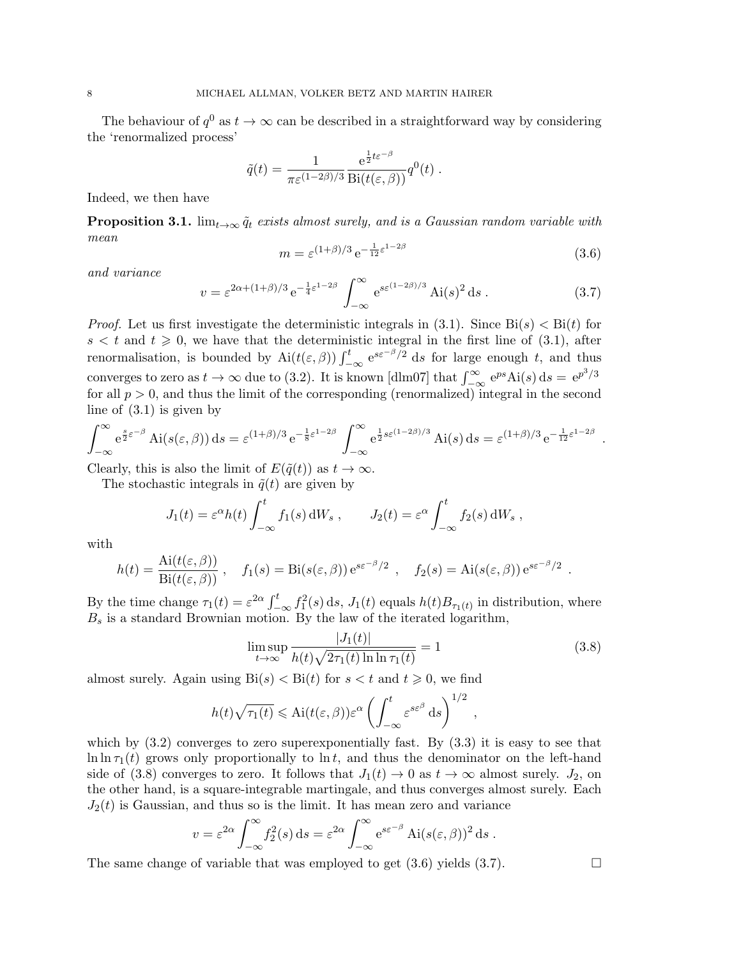The behaviour of  $q^0$  as  $t \to \infty$  can be described in a straightforward way by considering the 'renormalized process'

$$
\tilde{q}(t) = \frac{1}{\pi \varepsilon^{(1-2\beta)/3}} \frac{e^{\frac{1}{2}t\varepsilon^{-\beta}}}{\text{Bi}(t(\varepsilon,\beta))} q^0(t) .
$$

Indeed, we then have

**Proposition 3.1.**  $\lim_{t\to\infty} \tilde{q}_t$  exists almost surely, and is a Gaussian random variable with mean

$$
m = \varepsilon^{(1+\beta)/3} e^{-\frac{1}{12}\varepsilon^{1-2\beta}} \tag{3.6}
$$

and variance

$$
v = \varepsilon^{2\alpha + (1+\beta)/3} e^{-\frac{1}{4}\varepsilon^{1-2\beta}} \int_{-\infty}^{\infty} e^{s \varepsilon^{(1-2\beta)/3}} \text{Ai}(s)^2 \, \text{d}s \,. \tag{3.7}
$$

*Proof.* Let us first investigate the deterministic integrals in (3.1). Since  $\text{Bi}(s) < \text{Bi}(t)$  for  $s < t$  and  $t \geq 0$ , we have that the deterministic integral in the first line of (3.1), after renormalisation, is bounded by  $\text{Ai}(t(\varepsilon, \beta)) \int_{-\infty}^{t} e^{s \varepsilon^{-\beta}/2} ds$  for large enough t, and thus converges to zero as  $t \to \infty$  due to (3.2). It is known [dlm07] that  $\int_{-\infty}^{\infty} e^{ps} Ai(s) ds = e^{p^3/3}$ for all  $p > 0$ , and thus the limit of the corresponding (renormalized) integral in the second line of (3.1) is given by

$$
\int_{-\infty}^{\infty} e^{\frac{s}{2}\varepsilon^{-\beta}} \operatorname{Ai}(s(\varepsilon, \beta)) ds = \varepsilon^{(1+\beta)/3} e^{-\frac{1}{8}\varepsilon^{1-2\beta}} \int_{-\infty}^{\infty} e^{\frac{1}{2} s \varepsilon^{(1-2\beta)/3}} \operatorname{Ai}(s) ds = \varepsilon^{(1+\beta)/3} e^{-\frac{1}{12}\varepsilon^{1-2\beta}}
$$

Clearly, this is also the limit of  $E(\tilde{q}(t))$  as  $t \to \infty$ .

The stochastic integrals in  $\tilde{q}(t)$  are given by

$$
J_1(t) = \varepsilon^{\alpha} h(t) \int_{-\infty}^t f_1(s) \, dW_s , \qquad J_2(t) = \varepsilon^{\alpha} \int_{-\infty}^t f_2(s) \, dW_s ,
$$

with

$$
h(t) = \frac{\mathrm{Ai}(t(\varepsilon, \beta))}{\mathrm{Bi}(t(\varepsilon, \beta))}, \quad f_1(s) = \mathrm{Bi}(s(\varepsilon, \beta)) e^{s \varepsilon^{-\beta}/2}, \quad f_2(s) = \mathrm{Ai}(s(\varepsilon, \beta)) e^{s \varepsilon^{-\beta}/2}.
$$

By the time change  $\tau_1(t) = \varepsilon^{2\alpha} \int_{-\infty}^t f_1^2(s) \, ds$ ,  $J_1(t)$  equals  $h(t) B_{\tau_1(t)}$  in distribution, where  $B_s$  is a standard Brownian motion. By the law of the iterated logarithm,

$$
\limsup_{t \to \infty} \frac{|J_1(t)|}{h(t)\sqrt{2\tau_1(t)\ln \ln \tau_1(t)}} = 1
$$
\n(3.8)

almost surely. Again using  $\text{Bi}(s) < \text{Bi}(t)$  for  $s < t$  and  $t \geq 0$ , we find

$$
h(t)\sqrt{\tau_1(t)} \leqslant \mathrm{Ai}(t(\varepsilon,\beta))\varepsilon^{\alpha}\left(\int_{-\infty}^t \varepsilon^{s\varepsilon^{\beta}}\,\mathrm{d}s\right)^{1/2}\,,
$$

which by  $(3.2)$  converges to zero superexponentially fast. By  $(3.3)$  it is easy to see that  $\ln \ln \tau_1(t)$  grows only proportionally to  $\ln t$ , and thus the denominator on the left-hand side of (3.8) converges to zero. It follows that  $J_1(t) \to 0$  as  $t \to \infty$  almost surely.  $J_2$ , on the other hand, is a square-integrable martingale, and thus converges almost surely. Each  $J_2(t)$  is Gaussian, and thus so is the limit. It has mean zero and variance

$$
v = \varepsilon^{2\alpha} \int_{-\infty}^{\infty} f_2^2(s) \, ds = \varepsilon^{2\alpha} \int_{-\infty}^{\infty} e^{s \varepsilon^{-\beta}} Ai(s(\varepsilon, \beta))^2 \, ds.
$$

The same change of variable that was employed to get (3.6) yields (3.7).

$$
\Box
$$

.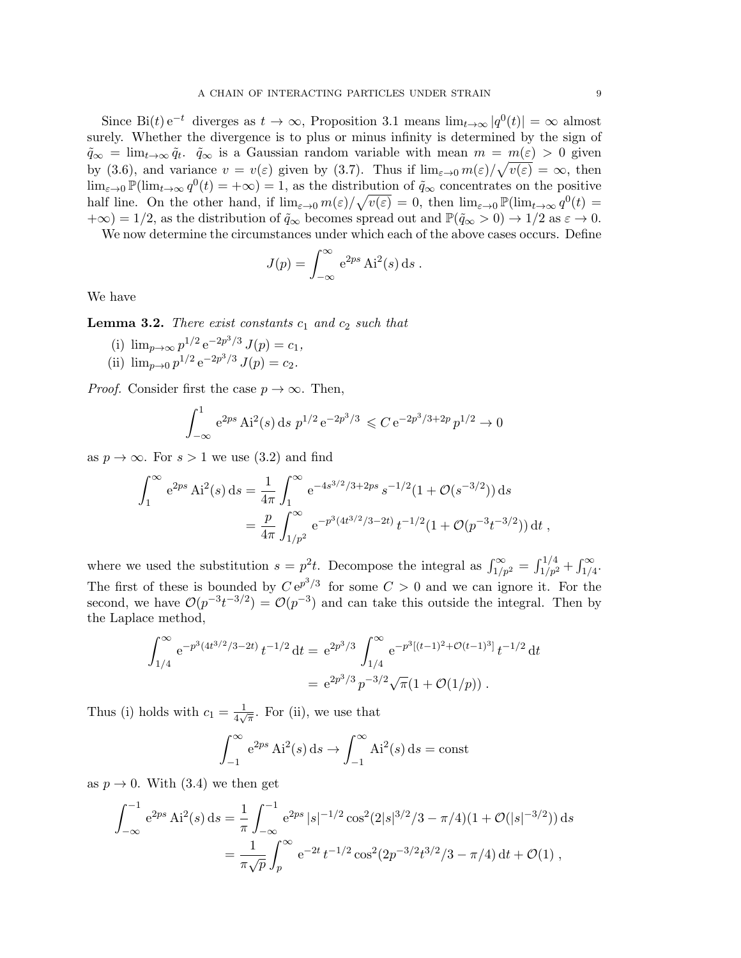Since Bi(t) e<sup>-t</sup> diverges as  $t \to \infty$ , Proposition 3.1 means  $\lim_{t\to\infty} |q^0(t)| = \infty$  almost surely. Whether the divergence is to plus or minus infinity is determined by the sign of  $\tilde{q}_{\infty} = \lim_{t \to \infty} \tilde{q}_t$ .  $\tilde{q}_{\infty}$  is a Gaussian random variable with mean  $m = m(\varepsilon) > 0$  given by (3.6), and variance  $v = v(\varepsilon)$  given by (3.7). Thus if  $\lim_{\varepsilon \to 0} m(\varepsilon) / \sqrt{v(\varepsilon)} = \infty$ , then  $\lim_{\varepsilon\to 0} \mathbb{P}(\lim_{t\to\infty} q^0(t) = +\infty) = 1$ , as the distribution of  $\tilde{q}_{\infty}$  concentrates on the positive half line. On the other hand, if  $\lim_{\varepsilon \to 0} m(\varepsilon) / \sqrt{v(\varepsilon)} = 0$ , then  $\lim_{\varepsilon \to 0} \mathbb{P}(\lim_{t \to \infty} q^0(t) =$  $+\infty$ ) = 1/2, as the distribution of  $\tilde{q}_{\infty}$  becomes spread out and  $\mathbb{P}(\tilde{q}_{\infty} > 0) \to 1/2$  as  $\varepsilon \to 0$ .

We now determine the circumstances under which each of the above cases occurs. Define

$$
J(p) = \int_{-\infty}^{\infty} e^{2ps} Ai^2(s) ds.
$$

We have

**Lemma 3.2.** There exist constants  $c_1$  and  $c_2$  such that

- (i)  $\lim_{p\to\infty} p^{1/2} e^{-2p^3/3} J(p) = c_1$ ,
- (ii)  $\lim_{p\to 0} p^{1/2} e^{-2p^3/3} J(p) = c_2.$

*Proof.* Consider first the case  $p \to \infty$ . Then,

$$
\int_{-\infty}^{1} e^{2ps} Ai^2(s) ds p^{1/2} e^{-2p^3/3} \leq C e^{-2p^3/3 + 2p} p^{1/2} \to 0
$$

as  $p \to \infty$ . For  $s > 1$  we use (3.2) and find

$$
\int_{1}^{\infty} e^{2ps} Ai^{2}(s) ds = \frac{1}{4\pi} \int_{1}^{\infty} e^{-4s^{3/2}/3 + 2ps} s^{-1/2} (1 + \mathcal{O}(s^{-3/2})) ds
$$
  
=  $\frac{p}{4\pi} \int_{1/p^{2}}^{\infty} e^{-p^{3}(4t^{3/2}/3 - 2t)} t^{-1/2} (1 + \mathcal{O}(p^{-3}t^{-3/2})) dt$ ,

where we used the substitution  $s = p^2t$ . Decompose the integral as  $\int_{1/p^2}^{\infty} = \int_{1/p^2}^{1/4} + \int_{1/4}^{\infty}$ . The first of these is bounded by  $Ce^{p^3/3}$  for some  $C > 0$  and we can ignore it. For the second, we have  $\mathcal{O}(p^{-3}t^{-3/2}) = \mathcal{O}(p^{-3})$  and can take this outside the integral. Then by the Laplace method,

$$
\int_{1/4}^{\infty} e^{-p^3(4t^{3/2}/3 - 2t)} t^{-1/2} dt = e^{2p^3/3} \int_{1/4}^{\infty} e^{-p^3[(t-1)^2 + \mathcal{O}(t-1)^3]} t^{-1/2} dt
$$
  
=  $e^{2p^3/3} p^{-3/2} \sqrt{\pi} (1 + \mathcal{O}(1/p))$ .

Thus (i) holds with  $c_1 = \frac{1}{4\sqrt{3}}$  $\frac{1}{4\sqrt{\pi}}$ . For (ii), we use that

$$
\int_{-1}^{\infty} e^{2ps} Ai^2(s) ds \rightarrow \int_{-1}^{\infty} Ai^2(s) ds = const
$$

as  $p \to 0$ . With (3.4) we then get

$$
\int_{-\infty}^{-1} e^{2ps} Ai^2(s) ds = \frac{1}{\pi} \int_{-\infty}^{-1} e^{2ps} |s|^{-1/2} \cos^2(2|s|^{3/2}/3 - \pi/4)(1 + \mathcal{O}(|s|^{-3/2})) ds
$$
  
= 
$$
\frac{1}{\pi \sqrt{p}} \int_p^{\infty} e^{-2t} t^{-1/2} \cos^2(2p^{-3/2} t^{3/2}/3 - \pi/4) dt + \mathcal{O}(1),
$$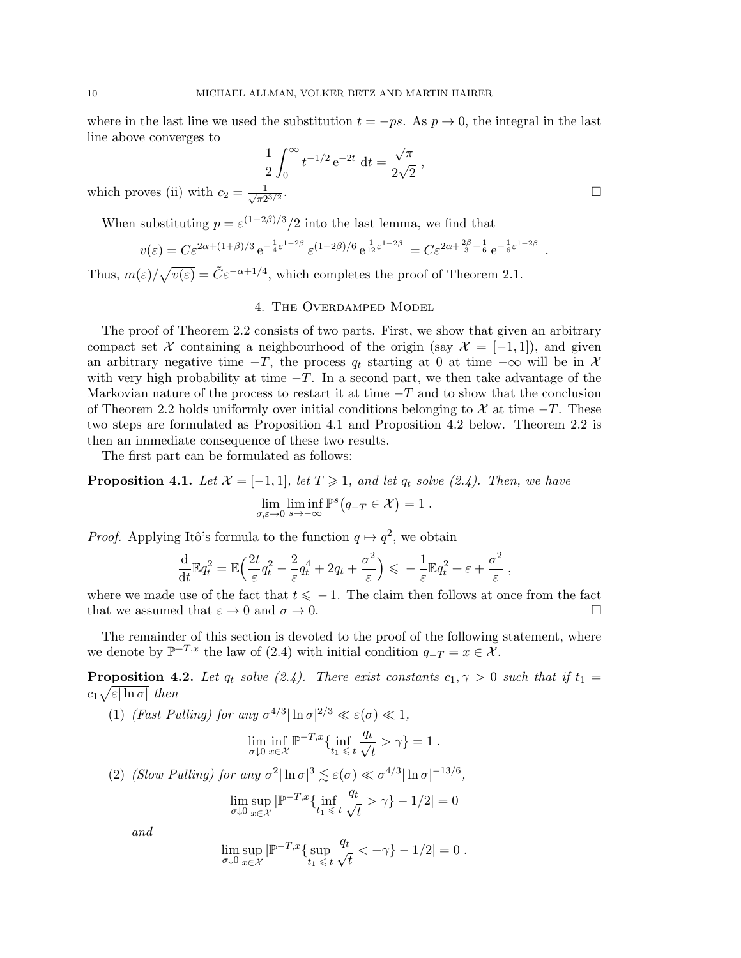where in the last line we used the substitution  $t = -ps$ . As  $p \rightarrow 0$ , the integral in the last line above converges to √

$$
\frac{1}{2} \int_0^\infty t^{-1/2} e^{-2t} dt = \frac{\sqrt{\pi}}{2\sqrt{2}},
$$

,

which proves (ii) with  $c_2 = \frac{1}{\sqrt{\pi^2}}$  $\overline{\pi}2^{3/2}$ 

When substituting  $p = \varepsilon^{(1-2\beta)/3}/2$  into the last lemma, we find that

$$
v(\varepsilon) = C \varepsilon^{2\alpha + (1+\beta)/3} e^{-\frac{1}{4}\varepsilon^{1-2\beta}} \varepsilon^{(1-2\beta)/6} e^{\frac{1}{12}\varepsilon^{1-2\beta}} = C \varepsilon^{2\alpha + \frac{2\beta}{3} + \frac{1}{6}} e^{-\frac{1}{6}\varepsilon^{1-2\beta}}.
$$

Thus,  $m(\varepsilon)/\sqrt{v(\varepsilon)} = \tilde{C} \varepsilon^{-\alpha+1/4}$ , which completes the proof of Theorem 2.1.

### 4. The Overdamped Model

The proof of Theorem 2.2 consists of two parts. First, we show that given an arbitrary compact set X containing a neighbourhood of the origin (say  $\mathcal{X} = [-1,1]$ ), and given an arbitrary negative time  $-T$ , the process  $q_t$  starting at 0 at time  $-\infty$  will be in X with very high probability at time  $-T$ . In a second part, we then take advantage of the Markovian nature of the process to restart it at time  $-T$  and to show that the conclusion of Theorem 2.2 holds uniformly over initial conditions belonging to X at time  $-T$ . These two steps are formulated as Proposition 4.1 and Proposition 4.2 below. Theorem 2.2 is then an immediate consequence of these two results.

The first part can be formulated as follows:

**Proposition 4.1.** Let  $\mathcal{X} = [-1, 1]$ , let  $T \geq 1$ , and let  $q_t$  solve (2.4). Then, we have

$$
\lim_{\sigma,\varepsilon\to 0}\liminf_{s\to-\infty}\mathbb{P}^s(q_{-T}\in\mathcal{X})=1.
$$

*Proof.* Applying Itô's formula to the function  $q \mapsto q^2$ , we obtain

$$
\frac{\mathrm{d}}{\mathrm{d}t}\mathbb{E}q_t^2 = \mathbb{E}\Big(\frac{2t}{\varepsilon}q_t^2 - \frac{2}{\varepsilon}q_t^4 + 2q_t + \frac{\sigma^2}{\varepsilon}\Big) \leqslant -\frac{1}{\varepsilon}\mathbb{E}q_t^2 + \varepsilon + \frac{\sigma^2}{\varepsilon},
$$

where we made use of the fact that  $t \leq -1$ . The claim then follows at once from the fact that we assumed that  $\varepsilon \to 0$  and  $\sigma \to 0$ .

The remainder of this section is devoted to the proof of the following statement, where we denote by  $\mathbb{P}^{-T,x}$  the law of (2.4) with initial condition  $q_{-T} = x \in \mathcal{X}$ .

**Proposition 4.2.** Let  $q_t$  solve (2.4). There exist constants  $c_1, \gamma > 0$  such that if  $t_1 =$  $c_1\sqrt{\varepsilon|\ln \sigma|}$  then

(1) (Fast Pulling) for any  $\sigma^{4/3}|\ln \sigma|^{2/3} \ll \varepsilon(\sigma) \ll 1$ ,

$$
\lim_{\sigma \downarrow 0} \inf_{x \in \mathcal{X}} \mathbb{P}^{-T,x} \{ \inf_{t_1 \leq t} \frac{q_t}{\sqrt{t}} > \gamma \} = 1.
$$

(2) (Slow Pulling) for any  $\sigma^2 |\ln \sigma|^3 \lesssim \varepsilon(\sigma) \ll \sigma^{4/3} |\ln \sigma|^{-13/6}$ ,

$$
\lim_{\sigma\downarrow 0}\sup_{x\in\mathcal{X}}|\mathbb{P}^{-T,x}\{\inf_{t_1\,\leqslant\, t}\frac{q_t}{\sqrt{t}}>\gamma\}-1/2|=0
$$

and

$$
\lim_{\sigma\downarrow 0}\sup_{x\in\mathcal{X}}|\mathbb{P}^{-T,x}\{\sup_{t_1\,\leqslant\,t}\frac{q_t}{\sqrt{t}}<-\gamma\}-1/2|=0\;.
$$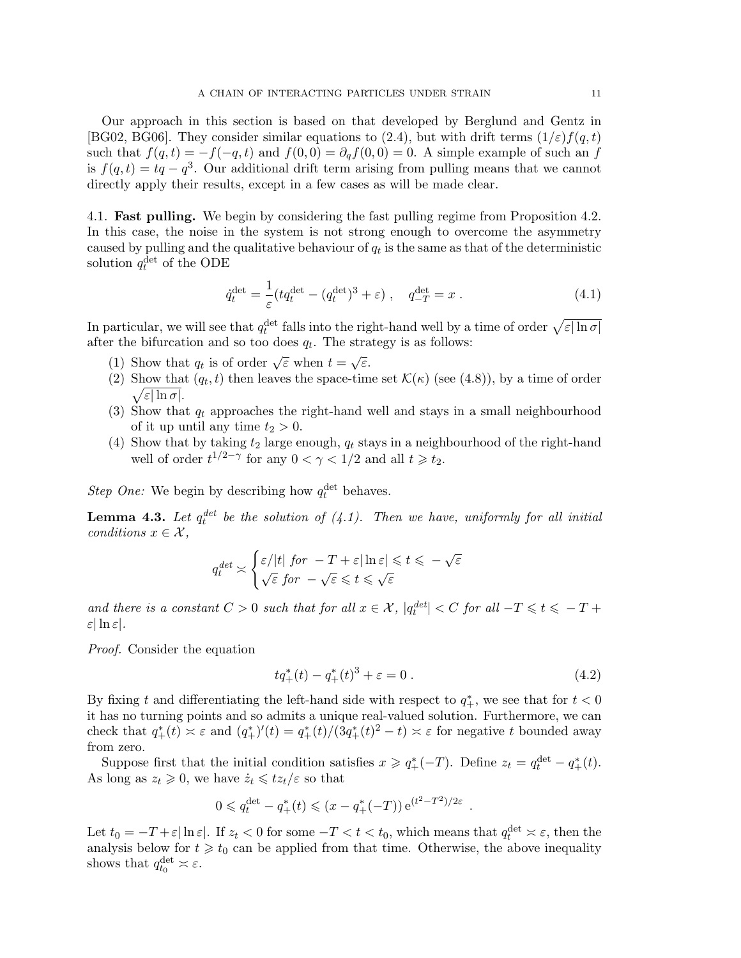Our approach in this section is based on that developed by Berglund and Gentz in [BG02, BG06]. They consider similar equations to (2.4), but with drift terms  $(1/\varepsilon) f(q,t)$ such that  $f(q, t) = -f(-q, t)$  and  $f(0, 0) = \partial_q f(0, 0) = 0$ . A simple example of such an f is  $f(q, t) = tq - q^3$ . Our additional drift term arising from pulling means that we cannot directly apply their results, except in a few cases as will be made clear.

4.1. Fast pulling. We begin by considering the fast pulling regime from Proposition 4.2. In this case, the noise in the system is not strong enough to overcome the asymmetry caused by pulling and the qualitative behaviour of  $q_t$  is the same as that of the deterministic solution  $q_t^{\text{det}}$  of the ODE

$$
\dot{q}_t^{\text{det}} = \frac{1}{\varepsilon} (t q_t^{\text{det}} - (q_t^{\text{det}})^3 + \varepsilon) , \quad q_{-T}^{\text{det}} = x . \tag{4.1}
$$

In particular, we will see that  $q_t^{\text{det}}$  falls into the right-hand well by a time of order  $\sqrt{\varepsilon |\ln \sigma|}$ after the bifurcation and so too does  $q_t$ . The strategy is as follows:

- (1) Show that  $q_t$  is of order  $\sqrt{\varepsilon}$  when  $t = \sqrt{\varepsilon}$ .
- (2) Show that  $(q_t, t)$  then leaves the space-time set  $\mathcal{K}(\kappa)$  (see (4.8)), by a time of order  $\sqrt{\varepsilon |\ln \sigma|}.$
- (3) Show that  $q_t$  approaches the right-hand well and stays in a small neighbourhood of it up until any time  $t_2 > 0$ .
- (4) Show that by taking  $t_2$  large enough,  $q_t$  stays in a neighbourhood of the right-hand well of order  $t^{1/2-\gamma}$  for any  $0 < \gamma < 1/2$  and all  $t \geq t_2$ .

Step One: We begin by describing how  $q_t^{\text{det}}$  behaves.

**Lemma 4.3.** Let  $q_t^{det}$  be the solution of  $(4.1)$ . Then we have, uniformly for all initial conditions  $x \in \mathcal{X}$ ,

$$
q_t^{det} \asymp \begin{cases} \varepsilon/|t| \ \textit{for} \ -T + \varepsilon |\ln \varepsilon| \leqslant t \leqslant \ -\sqrt{\varepsilon} \\ \sqrt{\varepsilon} \ \textit{for} \ -\sqrt{\varepsilon} \leqslant t \leqslant \sqrt{\varepsilon} \end{cases}
$$

and there is a constant  $C > 0$  such that for all  $x \in \mathcal{X}$ ,  $|q_t^{det}| < C$  for all  $-T \leq t \leq -T +$ ε| ln ε|.

Proof. Consider the equation

$$
tq_{+}^{*}(t) - q_{+}^{*}(t)^{3} + \varepsilon = 0.
$$
\n(4.2)

By fixing t and differentiating the left-hand side with respect to  $q^*_{+}$ , we see that for  $t < 0$ it has no turning points and so admits a unique real-valued solution. Furthermore, we can check that  $q^*_{+}(t) \asymp \varepsilon$  and  $(q^*_{+})'(t) = q^*_{+}(t)/(3q^*_{+}(t)^2 - t) \asymp \varepsilon$  for negative t bounded away from zero.

Suppose first that the initial condition satisfies  $x \geqslant q^*_{+}(-T)$ . Define  $z_t = q_t^{\text{det}} - q^*_{+}(t)$ . As long as  $z_t \geq 0$ , we have  $\dot{z}_t \leq t z_t / \varepsilon$  so that

$$
0 \leqslant q_t^{\det} - q_+^*(t) \leqslant (x - q_+^*(-T)) e^{(t^2 - T^2)/2\varepsilon}.
$$

Let  $t_0 = -T + \varepsilon |\ln \varepsilon|$ . If  $z_t < 0$  for some  $-T < t < t_0$ , which means that  $q_t^{\text{det}} \asymp \varepsilon$ , then the analysis below for  $t \geq t_0$  can be applied from that time. Otherwise, the above inequality shows that  $q_{t_0}^{\text{det}} \asymp \varepsilon$ .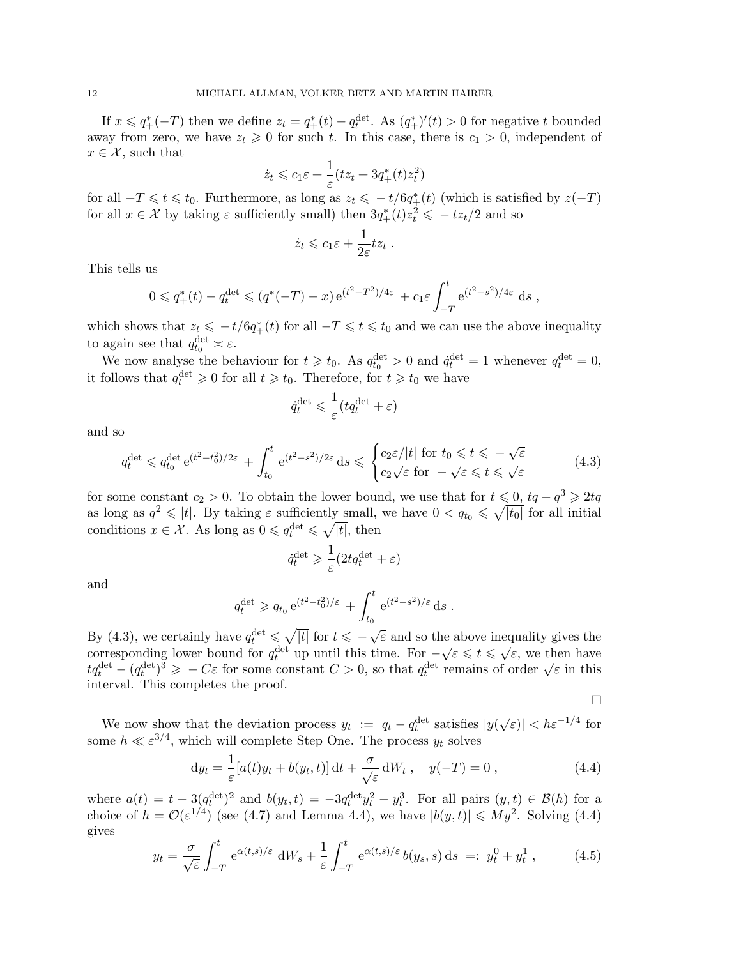If  $x \leqslant q^*_{+}(-T)$  then we define  $z_t = q^*_{+}(t) - q_t^{\text{det}}$ . As  $(q^*_{+})'(t) > 0$  for negative t bounded away from zero, we have  $z_t \geq 0$  for such t. In this case, there is  $c_1 > 0$ , independent of  $x \in \mathcal{X}$ , such that

$$
\dot{z}_t \leqslant c_1 \varepsilon + \frac{1}{\varepsilon} (tz_t + 3q_+^*(t)z_t^2)
$$

for all  $-T \leq t \leq t_0$ . Furthermore, as long as  $z_t \leq -t/6q^*_+(t)$  (which is satisfied by  $z(-T)$ ) for all  $x \in \mathcal{X}$  by taking  $\varepsilon$  sufficiently small) then  $3q^*_+(t)z_t^2 \leq -tz_t/2$  and so

$$
\dot{z}_t \leqslant c_1 \varepsilon + \frac{1}{2\varepsilon} tz_t .
$$

This tells us

$$
0 \leqslant q_+^*(t) - q_t^{\det} \leqslant (q^*(-T) - x) e^{(t^2 - T^2)/4\varepsilon} + c_1 \varepsilon \int_{-T}^t e^{(t^2 - s^2)/4\varepsilon} ds,
$$

which shows that  $z_t \leqslant -t/6q^*_{+}(t)$  for all  $-T \leqslant t \leqslant t_0$  and we can use the above inequality to again see that  $q_{t_0}^{\text{det}} \approx \varepsilon$ .

We now analyse the behaviour for  $t \geq t_0$ . As  $q_{t_0}^{\text{det}} > 0$  and  $\dot{q}_t^{\text{det}} = 1$  whenever  $q_t^{\text{det}} = 0$ , it follows that  $q_t^{\text{det}} \geq 0$  for all  $t \geq t_0$ . Therefore, for  $t \geq t_0$  we have

$$
\dot{q}_t^{\text{det}} \leq \frac{1}{\varepsilon} (t q_t^{\text{det}} + \varepsilon)
$$

and so

$$
q_t^{\text{det}} \leqslant q_{t_0}^{\text{det}} e^{(t^2 - t_0^2)/2\varepsilon} + \int_{t_0}^t e^{(t^2 - s^2)/2\varepsilon} \, \text{d}s \leqslant \begin{cases} c_2 \varepsilon / |t| \text{ for } t_0 \leqslant t \leqslant -\sqrt{\varepsilon} \\ c_2 \sqrt{\varepsilon} \text{ for } -\sqrt{\varepsilon} \leqslant t \leqslant \sqrt{\varepsilon} \end{cases} \tag{4.3}
$$

for some constant  $c_2 > 0$ . To obtain the lower bound, we use that for  $t \leq 0$ ,  $tq - q^3 \geq 2tq$ as long as  $q^2 \leq |t|$ . By taking  $\varepsilon$  sufficiently small, we have  $0 < q_{t_0} \leq \sqrt{|t_0|}$  for all initial conditions  $x \in \mathcal{X}$ . As long as  $0 \leqslant q_t^{\text{det}} \leqslant \sqrt{|t|}$ , then

$$
\dot{q}_t^{\text{det}} \geqslant \frac{1}{\varepsilon} (2tq_t^{\text{det}} + \varepsilon)
$$

and

$$
q_t^{\text{det}} \ge q_{t_0} e^{(t^2 - t_0^2)/\varepsilon} + \int_{t_0}^t e^{(t^2 - s^2)/\varepsilon} ds.
$$

By (4.3), we certainly have  $q_t^{\text{det}} \leq \sqrt{|t|}$  for  $t \leq -\sqrt{\varepsilon}$  and so the above inequality gives the Ly (4.3), we certainly have  $q_t \leq \sqrt{|t|}$  for  $t \leq -\sqrt{\epsilon}$  and so the above mequality gives the corresponding lower bound for  $q_t^{\text{det}}$  up until this time. For  $-\sqrt{\epsilon} \leq t \leq \sqrt{\epsilon}$ , we then have corresponding lower bound for  $q_t$  to up that this time. For  $-\sqrt{\epsilon} \leq t \leq \sqrt{\epsilon}$ , we then have  $t q_t^{\text{det}} - (q_t^{\text{det}})^3 \geq -C\epsilon$  for some constant  $C > 0$ , so that  $q_t^{\text{det}}$  remains of order  $\sqrt{\epsilon}$  in this interval. This completes the proof.

 $\Box$ 

We now show that the deviation process  $y_t := q_t - q_t^{\text{det}}$  satisfies  $|y(\sqrt{\varepsilon})| < h\varepsilon^{-1/4}$  for some  $h \ll \varepsilon^{3/4}$ , which will complete Step One. The process  $y_t$  solves

$$
dy_t = \frac{1}{\varepsilon} [a(t)y_t + b(y_t, t)] dt + \frac{\sigma}{\sqrt{\varepsilon}} dW_t, \quad y(-T) = 0,
$$
\n(4.4)

where  $a(t) = t - 3(q_t^{\text{det}})^2$  and  $b(y_t, t) = -3q_t^{\text{det}}y_t^2 - y_t^3$ . For all pairs  $(y, t) \in \mathcal{B}(h)$  for a choice of  $h = \mathcal{O}(\varepsilon^{1/4})$  (see (4.7) and Lemma 4.4), we have  $|b(y, t)| \leqslant My^2$ . Solving (4.4) gives

$$
y_t = \frac{\sigma}{\sqrt{\varepsilon}} \int_{-T}^t e^{\alpha(t,s)/\varepsilon} dW_s + \frac{1}{\varepsilon} \int_{-T}^t e^{\alpha(t,s)/\varepsilon} b(y_s, s) ds =: y_t^0 + y_t^1,
$$
 (4.5)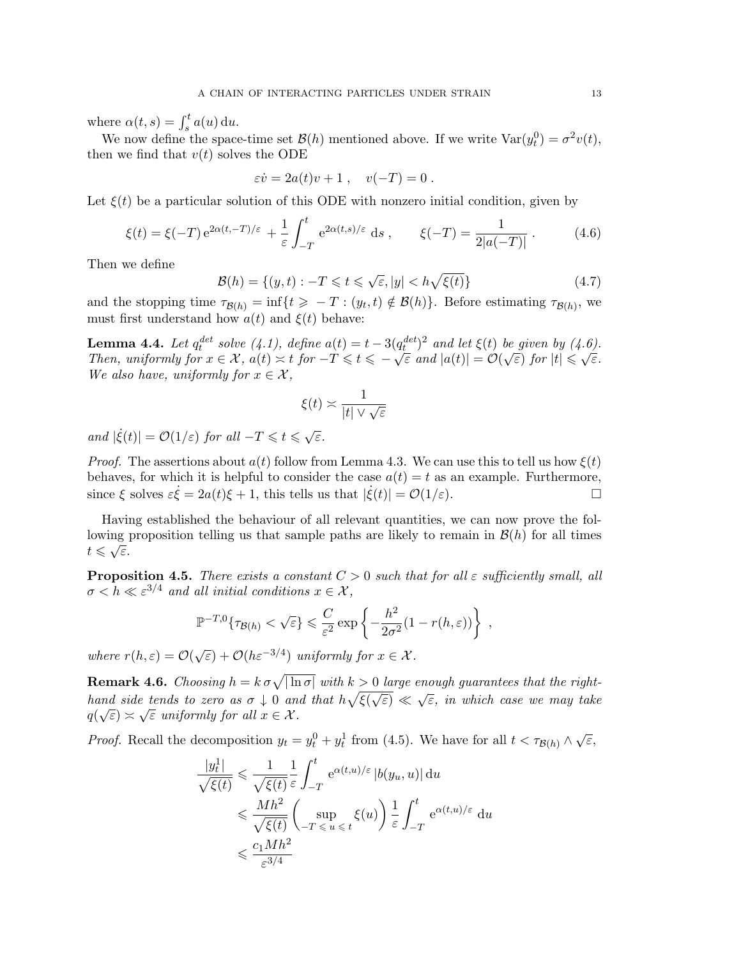where  $\alpha(t,s) = \int_s^t a(u) \, \mathrm{d}u$ .

We now define the space-time set  $\mathcal{B}(h)$  mentioned above. If we write  $\text{Var}(y_t^0) = \sigma^2 v(t)$ , then we find that  $v(t)$  solves the ODE

$$
\varepsilon \dot{v} = 2a(t)v + 1 , \quad v(-T) = 0 .
$$

Let  $\xi(t)$  be a particular solution of this ODE with nonzero initial condition, given by

$$
\xi(t) = \xi(-T) e^{2\alpha(t, -T)/\varepsilon} + \frac{1}{\varepsilon} \int_{-T}^{t} e^{2\alpha(t, s)/\varepsilon} ds , \qquad \xi(-T) = \frac{1}{2|a(-T)|} . \tag{4.6}
$$

Then we define

$$
\mathcal{B}(h) = \{(y, t) : -T \leq t \leq \sqrt{\varepsilon}, |y| < h\sqrt{\xi(t)}\}\tag{4.7}
$$

and the stopping time  $\tau_{\mathcal{B}(h)} = \inf\{t \geq -T : (y_t, t) \notin \mathcal{B}(h)\}\)$ . Before estimating  $\tau_{\mathcal{B}(h)}$ , we must first understand how  $a(t)$  and  $\xi(t)$  behave:

**Lemma 4.4.** Let  $q_t^{det}$  solve (4.1), define  $a(t) = t - 3(q_t^{det})^2$  and let  $\xi(t)$  be given by (4.6). **Example 4.4.** Let  $q_t^*$  solve  $(4.1)$ , define  $a(t) = t - \delta(q_t^*)$  and let  $\zeta(t)$  be given by  $(4.0)$ .<br>Then, uniformly for  $x \in \mathcal{X}$ ,  $a(t) \asymp t$  for  $-T \leq t \leq -\sqrt{\varepsilon}$  and  $|a(t)| = \mathcal{O}(\sqrt{\varepsilon})$  for  $|t| \leq \sqrt{\varepsilon}$ . We also have, uniformly for  $x \in \mathcal{X}$ ,

$$
\xi(t) \asymp \frac{1}{|t| \vee \sqrt{\varepsilon}}
$$

and  $|\dot{\xi}(t)| = \mathcal{O}(1/\varepsilon)$  for all  $-T \leqslant t \leqslant \sqrt{\varepsilon}$ .

*Proof.* The assertions about  $a(t)$  follow from Lemma 4.3. We can use this to tell us how  $\xi(t)$ behaves, for which it is helpful to consider the case  $a(t) = t$  as an example. Furthermore, since  $\xi$  solves  $\varepsilon \dot{\xi} = 2a(t)\xi + 1$ , this tells us that  $|\dot{\xi}(t)| = \mathcal{O}(1/\varepsilon)$ .

Having established the behaviour of all relevant quantities, we can now prove the following proposition telling us that sample paths are likely to remain in  $\mathcal{B}(h)$  for all times  $t \leqslant \sqrt{\varepsilon}$ .

**Proposition 4.5.** There exists a constant  $C > 0$  such that for all  $\varepsilon$  sufficiently small, all  $\sigma < h \ll \varepsilon^{3/4}$  and all initial conditions  $x \in \mathcal{X}$ ,

$$
\mathbb{P}^{-T,0}\{\tau_{\mathcal{B}(h)} < \sqrt{\varepsilon}\} \leq \frac{C}{\varepsilon^2} \exp\left\{-\frac{h^2}{2\sigma^2}(1-r(h,\varepsilon))\right\} \;,
$$

where  $r(h, \varepsilon) = \mathcal{O}(\sqrt{\varepsilon}) + \mathcal{O}(h\varepsilon^{-3/4})$  uniformly for  $x \in \mathcal{X}$ .

**Remark 4.6.** Choosing  $h = k \sigma \sqrt{\ln \sigma}$  with  $k > 0$  large enough guarantees that the righthand side tends to zero as  $\sigma \downarrow 0$  and that  $h\sqrt{\xi(\sqrt{\varepsilon})} \ll \sqrt{\varepsilon}$ , in which case we may take  $q(\sqrt{\varepsilon}) \asymp \sqrt{\varepsilon}$  uniformly for all  $x \in \mathcal{X}$ .

*Proof.* Recall the decomposition  $y_t = y_t^0 + y_t^1$  from (4.5). We have for all  $t < \tau_{\mathcal{B}(h)} \wedge \sqrt{\varepsilon}$ ,

$$
\frac{|y_t^1|}{\sqrt{\xi(t)}} \leq \frac{1}{\sqrt{\xi(t)}} \frac{1}{\varepsilon} \int_{-T}^t e^{\alpha(t,u)/\varepsilon} |b(y_u, u)| du
$$
  

$$
\leq \frac{Mh^2}{\sqrt{\xi(t)}} \left( \sup_{-T \leq u \leq t} \xi(u) \right) \frac{1}{\varepsilon} \int_{-T}^t e^{\alpha(t,u)/\varepsilon} du
$$
  

$$
\leq \frac{c_1 Mh^2}{\varepsilon^{3/4}}
$$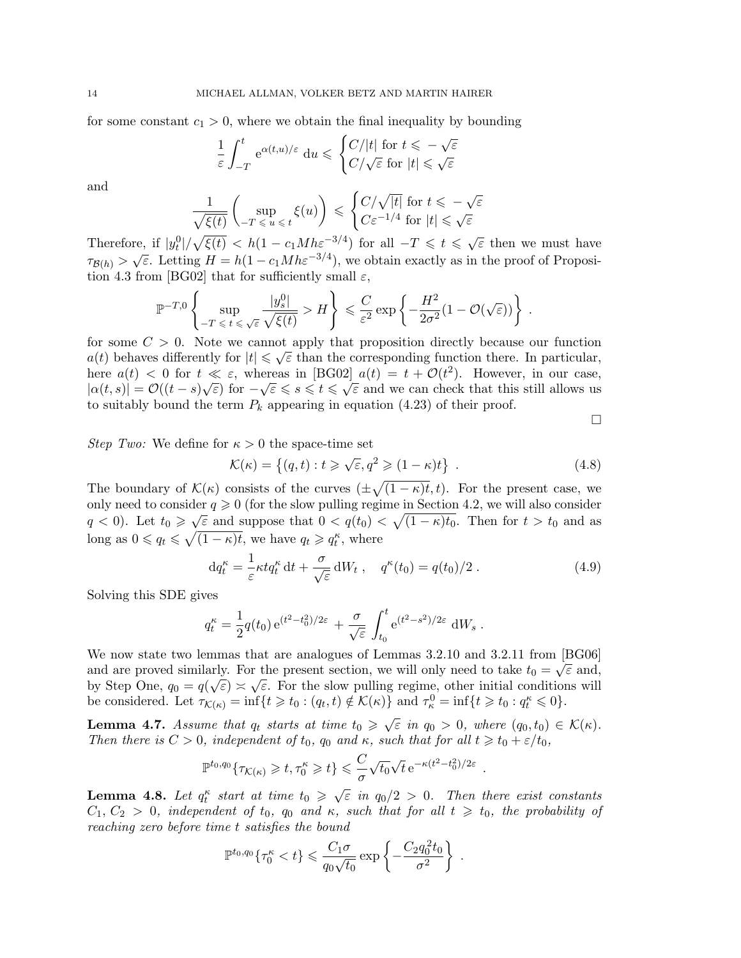for some constant  $c_1 > 0$ , where we obtain the final inequality by bounding

$$
\frac{1}{\varepsilon} \int_{-T}^t \mathrm{e}^{\alpha(t,u)/\varepsilon} \; \mathrm{d} u \leqslant \begin{cases} C/|t| \text{ for } t \leqslant -\sqrt{\varepsilon} \\ C/\sqrt{\varepsilon} \text{ for } |t| \leqslant \sqrt{\varepsilon} \end{cases}
$$

and

$$
\frac{1}{\sqrt{\xi(t)}}\left(\sup_{-T\,\leqslant\, u\,\leqslant\, t}\xi(u)\right)\,\leqslant\,\begin{cases}C/\sqrt{|t|}\,\,\text{for}\,\, t\leqslant\, -\sqrt{\varepsilon}\\ C\varepsilon^{-1/4}\,\,\text{for}\,\, |t|\leqslant\sqrt{\varepsilon}\end{cases}
$$

Therefore, if  $|y_t^0|/\sqrt{\xi(t)} < h(1 - c_1 M h \varepsilon^{-3/4})$  for all  $-T \leq t \leq \sqrt{\varepsilon}$  then we must have  $\tau_{\mathcal{B}(h)} > \sqrt{\varepsilon}$ . Letting  $H = h(1 - c_1 M h \varepsilon^{-3/4})$ , we obtain exactly as in the proof of Proposition 4.3 from [BG02] that for sufficiently small  $\varepsilon$ ,

$$
\mathbb{P}^{-T,0}\left\{\sup_{-T\,\leq\,t\,\leq\,\sqrt{\varepsilon}}\frac{|y_s^0|}{\sqrt{\xi(t)}}\right\} \leq \frac{C}{\varepsilon^2}\exp\left\{-\frac{H^2}{2\sigma^2}(1-\mathcal{O}(\sqrt{\varepsilon}))\right\}\;.
$$

for some  $C > 0$ . Note we cannot apply that proposition directly because our function  $a(t)$  behaves differently for  $|t| \leq \sqrt{\varepsilon}$  than the corresponding function there. In particular, here  $a(t) < 0$  for  $t \ll \varepsilon$ , whereas in [BG02]  $a(t) = t + \mathcal{O}(t^2)$ . However, in our case,  $|\alpha(t,s)| = \mathcal{O}((t-s)\sqrt{\varepsilon})$  for  $-\sqrt{\varepsilon} \leq s \leq t \leq \sqrt{\varepsilon}$  and we can check that this still allows us to suitably bound the term  $P_k$  appearing in equation (4.23) of their proof.

 $\Box$ 

Step Two: We define for  $\kappa > 0$  the space-time set

$$
\mathcal{K}(\kappa) = \left\{ (q, t) : t \geq \sqrt{\varepsilon}, q^2 \geq (1 - \kappa)t \right\}.
$$
\n(4.8)

The boundary of  $\mathcal{K}(\kappa)$  consists of the curves  $(\pm \sqrt{(1-\kappa)t}, t)$ . For the present case, we only need to consider  $q \geq 0$  (for the slow pulling regime in Section 4.2, we will also consider only need to consider  $q \ge 0$  (for the slow pulling regime in section 4.2, we will also consider  $q < 0$ ). Let  $t_0 \ge \sqrt{\varepsilon}$  and suppose that  $0 < q(t_0) < \sqrt{(1 - \kappa)t_0}$ . Then for  $t > t_0$  and as long as  $0 \leqslant q_t \leqslant \sqrt{(1 - \kappa)t}$ , we have  $q_t \geqslant q_t^{\kappa}$ , where

$$
\mathrm{d}q_t^{\kappa} = \frac{1}{\varepsilon} \kappa t q_t^{\kappa} \, \mathrm{d}t + \frac{\sigma}{\sqrt{\varepsilon}} \, \mathrm{d}W_t \;, \quad q^{\kappa}(t_0) = q(t_0)/2 \;. \tag{4.9}
$$

.

Solving this SDE gives

$$
q_t^{\kappa} = \frac{1}{2} q(t_0) e^{(t^2 - t_0^2)/2\varepsilon} + \frac{\sigma}{\sqrt{\varepsilon}} \int_{t_0}^t e^{(t^2 - s^2)/2\varepsilon} dW_s.
$$

We now state two lemmas that are analogues of Lemmas 3.2.10 and 3.2.11 from  $[\text{BG06}]$ and are proved similarly. For the present section, we will only need to take  $t_0 = \sqrt{\varepsilon}$  and, by Step One,  $q_0 = q(\sqrt{\varepsilon}) \times \sqrt{\varepsilon}$ . For the slow pulling regime, other initial conditions will be considered. Let  $\tau_{\mathcal{K}(\kappa)} = \inf\{t \geq t_0 : (q_t, t) \notin \mathcal{K}(\kappa)\}\$ and  $\tau_{\kappa}^0 = \inf\{t \geq t_0 : q_t^{\kappa} \leq 0\}.$ 

**Lemma 4.7.** Assume that  $q_t$  starts at time  $t_0 \geq \sqrt{\varepsilon}$  in  $q_0 > 0$ , where  $(q_0, t_0) \in \mathcal{K}(\kappa)$ . Then there is  $C > 0$ , independent of  $t_0$ ,  $q_0$  and  $\kappa$ , such that for all  $t \geq t_0 + \varepsilon/t_0$ ,

$$
\mathbb{P}^{t_0,q_0}\{\tau_{\mathcal{K}(\kappa)} \geqslant t, \tau_0^\kappa \geqslant t\} \leqslant \frac{C}{\sigma} \sqrt{t_0} \sqrt{t} e^{-\kappa (t^2-t_0^2)/2\varepsilon}
$$

**Lemma 4.8.** Let  $q_t^{\kappa}$  start at time  $t_0 \geqslant \sqrt{\varepsilon}$  in  $q_0/2 > 0$ . Then there exist constants  $C_1, C_2 > 0$ , independent of  $t_0$ ,  $q_0$  and  $\kappa$ , such that for all  $t \geq t_0$ , the probability of reaching zero before time t satisfies the bound

$$
\mathbb{P}^{t_0,q_0}\{\tau_0^{\kappa} < t\} \leq \frac{C_1\sigma}{q_0\sqrt{t_0}} \exp\left\{-\frac{C_2q_0^2t_0}{\sigma^2}\right\} .
$$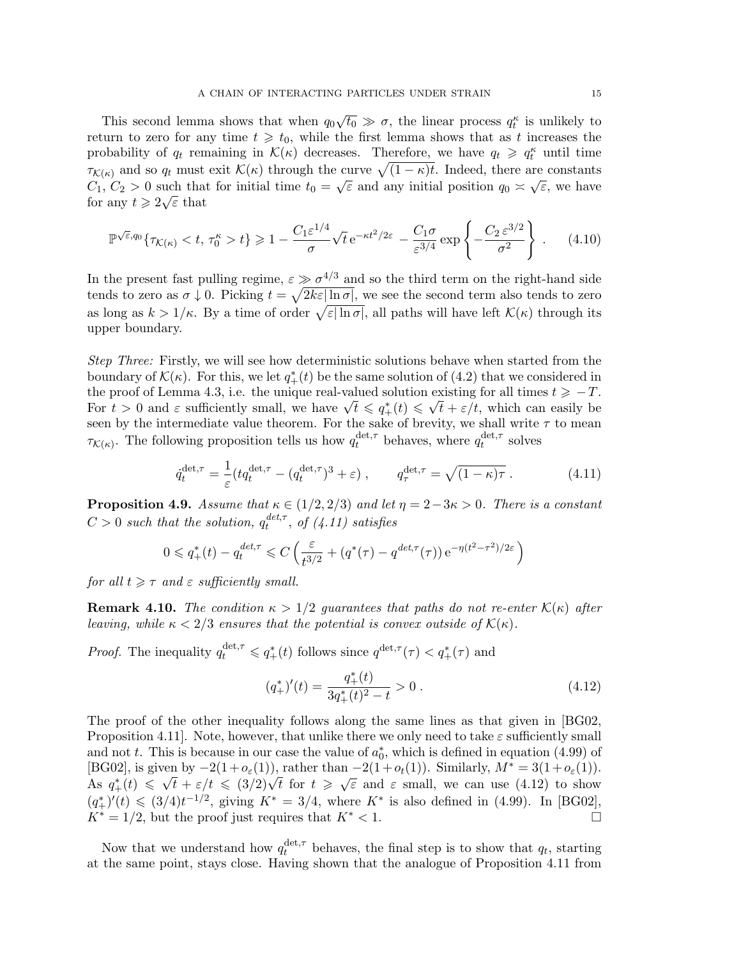This second lemma shows that when  $q_0$ √  $\overline{t_0} \gg \sigma$ , the linear process  $q_t^{\kappa}$  is unlikely to return to zero for any time  $t \geq t_0$ , while the first lemma shows that as t increases the probability of  $q_t$  remaining in  $\mathcal{K}(\kappa)$  decreases. Therefore, we have  $q_t \geqslant q_t^{\kappa}$  until time  $\tau_{\mathcal{K}(\kappa)}$  and so  $q_t$  must exit  $\mathcal{K}(\kappa)$  through the curve  $\sqrt{(1-\kappa)t}$ . Indeed, there are constants  $C_1, C_2 > 0$  such that for initial time  $t_0 = \sqrt{\varepsilon}$  and any initial position  $q_0 \approx \sqrt{\varepsilon}$ , we have for any  $t \geqslant 2\sqrt{\varepsilon}$  that

$$
\mathbb{P}^{\sqrt{\varepsilon}, q_0} \{ \tau_{\mathcal{K}(\kappa)} < t, \, \tau_0^{\kappa} > t \} \geqslant 1 - \frac{C_1 \varepsilon^{1/4}}{\sigma} \sqrt{t} \, \mathrm{e}^{-\kappa t^2 / 2\varepsilon} - \frac{C_1 \sigma}{\varepsilon^{3/4}} \exp\left\{-\frac{C_2 \, \varepsilon^{3/2}}{\sigma^2}\right\} \,. \tag{4.10}
$$

In the present fast pulling regime,  $\varepsilon \gg \sigma^{4/3}$  and so the third term on the right-hand side tends to zero as  $\sigma \downarrow 0$ . Picking  $t = \sqrt{2k\varepsilon \vert \ln \sigma \vert}$ , we see the second term also tends to zero as long as  $k > 1/\kappa$ . By a time of order  $\sqrt{\varepsilon \ln \sigma}$ , all paths will have left  $\mathcal{K}(\kappa)$  through its upper boundary.

Step Three: Firstly, we will see how deterministic solutions behave when started from the boundary of  $\mathcal{K}(\kappa)$ . For this, we let  $q^*_{+}(t)$  be the same solution of  $(4.2)$  that we considered in the proof of Lemma 4.3, i.e. the unique real-valued solution existing for all times  $t \geq -T$ . the proot of Lemma 4.3, i.e. the unique real-valued solution existing for all times  $t \geq -1$ .<br>For  $t > 0$  and  $\varepsilon$  sufficiently small, we have  $\sqrt{t} \leqslant q^*_{+}(t) \leqslant \sqrt{t} + \varepsilon/t$ , which can easily be seen by the intermediate value theorem. For the sake of brevity, we shall write  $\tau$  to mean  $\tau_{\mathcal{K}(\kappa)}$ . The following proposition tells us how  $q_t^{\text{det},\tau}$  behaves, where  $q_t^{\text{det},\tau}$  $t_t^{\text{det},\tau}$  solves

$$
\dot{q}_t^{\text{det},\tau} = \frac{1}{\varepsilon} (t q_t^{\text{det},\tau} - (q_t^{\text{det},\tau})^3 + \varepsilon) , \qquad q_\tau^{\text{det},\tau} = \sqrt{(1-\kappa)\tau} . \tag{4.11}
$$

**Proposition 4.9.** Assume that  $\kappa \in (1/2, 2/3)$  and let  $\eta = 2-3\kappa > 0$ . There is a constant  $C>0$  such that the solution,  $q_t^{det, \tau}$  $t^{aet,\tau}$ , of (4.11) satisfies

$$
0 \leqslant q^*_+(t) - q^{det,\tau}_t \leqslant C\left(\frac{\varepsilon}{t^{3/2}} + \left(q^*(\tau) - q^{det,\tau}(\tau)\right)\mathrm{e}^{-\eta(t^2-\tau^2)/2\varepsilon}\right)
$$

for all  $t \geqslant \tau$  and  $\varepsilon$  sufficiently small.

**Remark 4.10.** The condition  $\kappa > 1/2$  guarantees that paths do not re-enter  $\mathcal{K}(\kappa)$  after leaving, while  $\kappa < 2/3$  ensures that the potential is convex outside of  $\mathcal{K}(\kappa)$ .

*Proof.* The inequality  $q_t^{\text{det},\tau} \leq q^*_{+}(t)$  follows since  $q^{\text{det},\tau}(\tau) < q^*_{+}(\tau)$  and

$$
(q_{+}^{*})'(t) = \frac{q_{+}^{*}(t)}{3q_{+}^{*}(t)^{2} - t} > 0.
$$
\n(4.12)

The proof of the other inequality follows along the same lines as that given in [BG02, Proposition 4.11]. Note, however, that unlike there we only need to take  $\varepsilon$  sufficiently small and not t. This is because in our case the value of  $a_0^*$ , which is defined in equation (4.99) of [BG02], is given by  $-2(1+o_{\varepsilon}(1))$ , rather than  $-2(1+o_t(1))$ . Similarly,  $M^* = 3(1+o_{\varepsilon}(1))$ . (BG02), is given by  $-2(1+o_{\varepsilon}(1))$ , rather than  $-2(1+o_t(1))$ . Similarly,  $M = S(1+o_{\varepsilon}(1))$ .<br>As  $q^*_{+}(t) \le \sqrt{t} + \varepsilon/t \le (3/2)\sqrt{t}$  for  $t \ge \sqrt{\varepsilon}$  and  $\varepsilon$  small, we can use (4.12) to show  $(q_{+}^{*})'(t) \leq (3/4)t^{-1/2}$ , giving  $K^{*} = 3/4$ , where  $K^{*}$  is also defined in (4.99). In [BG02],  $K^* = 1/2$ , but the proof just requires that  $K^* < 1$ .

Now that we understand how  $q_t^{\text{det},\tau}$  behaves, the final step is to show that  $q_t$ , starting at the same point, stays close. Having shown that the analogue of Proposition 4.11 from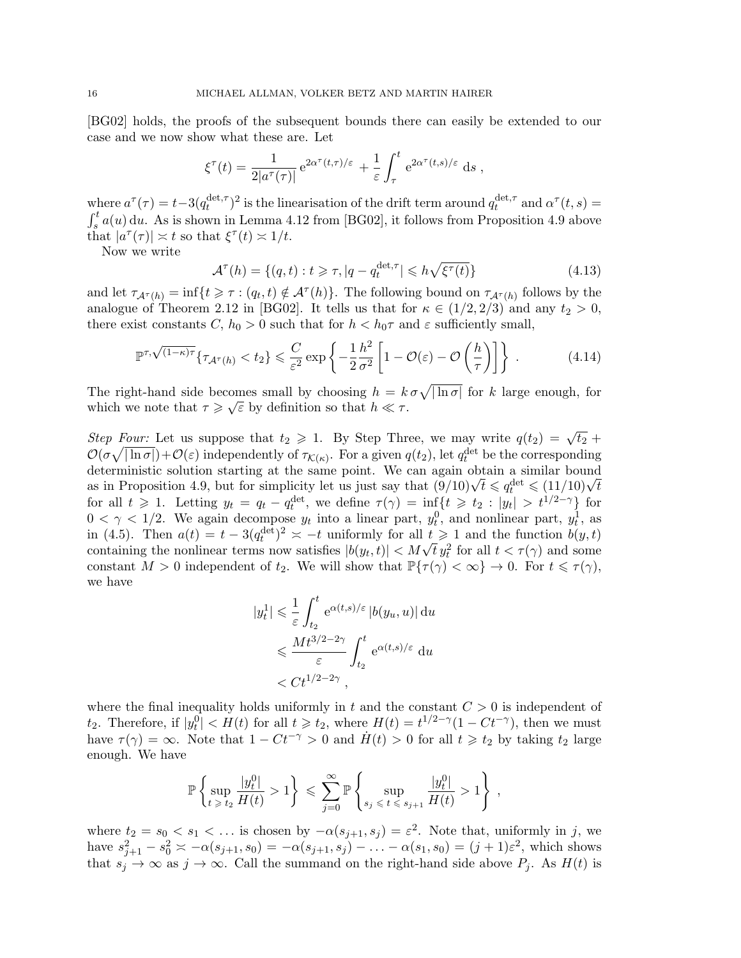[BG02] holds, the proofs of the subsequent bounds there can easily be extended to our case and we now show what these are. Let

$$
\xi^{\tau}(t) = \frac{1}{2|a^{\tau}(\tau)|} e^{2\alpha^{\tau}(t,\tau)/\varepsilon} + \frac{1}{\varepsilon} \int_{\tau}^{t} e^{2\alpha^{\tau}(t,s)/\varepsilon} ds,
$$

where  $a^{\tau}(\tau) = t-3(q_t^{\text{det},\tau})$  $(t_t^{\text{det},\tau})^2$  is the linearisation of the drift term around  $q_t^{\text{det},\tau}$  $t_t^{\text{det},\tau}$  and  $\alpha^{\tau}(t,s)$  =  $\int_s^t a(u) \, \mathrm{d}u$ . As is shown in Lemma 4.12 from [BG02], it follows from Proposition 4.9 above that  $|a^{\tau}(\tau)| \asymp t$  so that  $\xi^{\tau}(t) \asymp 1/t$ .

Now we write

$$
\mathcal{A}^{\tau}(h) = \{(q, t) : t \geq \tau, |q - q_t^{\text{det}, \tau}| \leq h\sqrt{\xi^{\tau}(t)}\}\tag{4.13}
$$

and let  $\tau_{A^{\tau}(h)} = \inf\{t \geq \tau : (q_t, t) \notin A^{\tau}(h)\}.$  The following bound on  $\tau_{A^{\tau}(h)}$  follows by the analogue of Theorem 2.12 in [BG02]. It tells us that for  $\kappa \in (1/2, 2/3)$  and any  $t_2 > 0$ , there exist constants C,  $h_0 > 0$  such that for  $h < h_0 \tau$  and  $\varepsilon$  sufficiently small,

$$
\mathbb{P}^{\tau,\sqrt{(1-\kappa)\tau}}\left\{\tau_{\mathcal{A}^{\tau}(h)} < t_2\right\} \leqslant \frac{C}{\varepsilon^2} \exp\left\{-\frac{1}{2}\frac{h^2}{\sigma^2} \left[1 - \mathcal{O}(\varepsilon) - \mathcal{O}\left(\frac{h}{\tau}\right)\right]\right\} \,. \tag{4.14}
$$

The right-hand side becomes small by choosing  $h = k \sigma \sqrt{|\ln \sigma|}$  for k large enough, for which we note that  $\tau \geqslant \sqrt{\varepsilon}$  by definition so that  $h \ll \tau$ .

Step Four: Let us suppose that  $t_2 \geq 1$ . By Step Three, we may write  $q(t_2) = \sqrt{t_2} +$  $\mathcal{O}(\sigma\sqrt{|\ln \sigma|}) + \mathcal{O}(\varepsilon)$  independently of  $\tau_{\mathcal{K}(\kappa)}$ . For a given  $q(t_2)$ , let  $q_t^{\text{det}}$  be the corresponding deterministic solution starting at the same point. We can again obtain a similar bound deterministic solution starting at the same point. We can again obtain a similar bound<br>as in Proposition 4.9, but for simplicity let us just say that  $(9/10)\sqrt{t} \leq q_t^{\text{det}} \leq (11/10)\sqrt{t}$ for all  $t \geq 1$ . Letting  $y_t = q_t - q_t^{\text{det}}$ , we define  $\tau(\gamma) = \inf_{\gamma \in \gamma} \{ t \geq t_2 : |y_t| > t^{1/2 - \gamma} \}$  for  $0 < \gamma < 1/2$ . We again decompose  $y_t$  into a linear part,  $y_t^0$ , and nonlinear part,  $y_t^1$ , as in (4.5). Then  $a(t) = t - 3(q_t^{\text{det}})^2 \approx -t$  uniformly for all  $t \geq 1$  and the function  $b(y, t)$ In (4.5). Then  $a(t) = t - s(q_t^{T-1}) \leq -t$  uniformly for all  $t \geq 1$  and the function  $v(y, t)$  containing the nonlinear terms now satisfies  $|b(y_t, t)| < M\sqrt{t} y_t^2$  for all  $t < \tau(\gamma)$  and some constant  $M > 0$  independent of  $t_2$ . We will show that  $\mathbb{P}\{\tau(\gamma) < \infty\} \to 0$ . For  $t \leq \tau(\gamma)$ , we have

$$
|y_t^1| \leq \frac{1}{\varepsilon} \int_{t_2}^t e^{\alpha(t,s)/\varepsilon} |b(y_u, u)| du
$$
  

$$
\leq \frac{Mt^{3/2-2\gamma}}{\varepsilon} \int_{t_2}^t e^{\alpha(t,s)/\varepsilon} du
$$
  

$$
< Ct^{1/2-2\gamma},
$$

where the final inequality holds uniformly in t and the constant  $C > 0$  is independent of t<sub>2</sub>. Therefore, if  $|y_t^0| < H(t)$  for all  $t \geq t_2$ , where  $H(t) = t^{1/2-\gamma}(1 - Ct^{-\gamma})$ , then we must have  $\tau(\gamma) = \infty$ . Note that  $1 - Ct^{-\gamma} > 0$  and  $H(t) > 0$  for all  $t \geq t_2$  by taking  $t_2$  large enough. We have

$$
\mathbb{P}\left\{\sup_{t\geq t_2}\frac{|y_t^0|}{H(t)}>1\right\}\leqslant \sum_{j=0}^\infty \mathbb{P}\left\{\sup_{s_j\leqslant t\leqslant s_{j+1}}\frac{|y_t^0|}{H(t)}>1\right\}\,,
$$

where  $t_2 = s_0 < s_1 < \dots$  is chosen by  $-\alpha(s_{j+1}, s_j) = \varepsilon^2$ . Note that, uniformly in j, we have  $s_{j+1}^2 - s_0^2 \simeq -\alpha(s_{j+1}, s_0) = -\alpha(s_{j+1}, s_j) - \ldots - \alpha(s_1, s_0) = (j+1)\varepsilon^2$ , which shows that  $s_j \to \infty$  as  $j \to \infty$ . Call the summand on the right-hand side above  $P_j$ . As  $H(t)$  is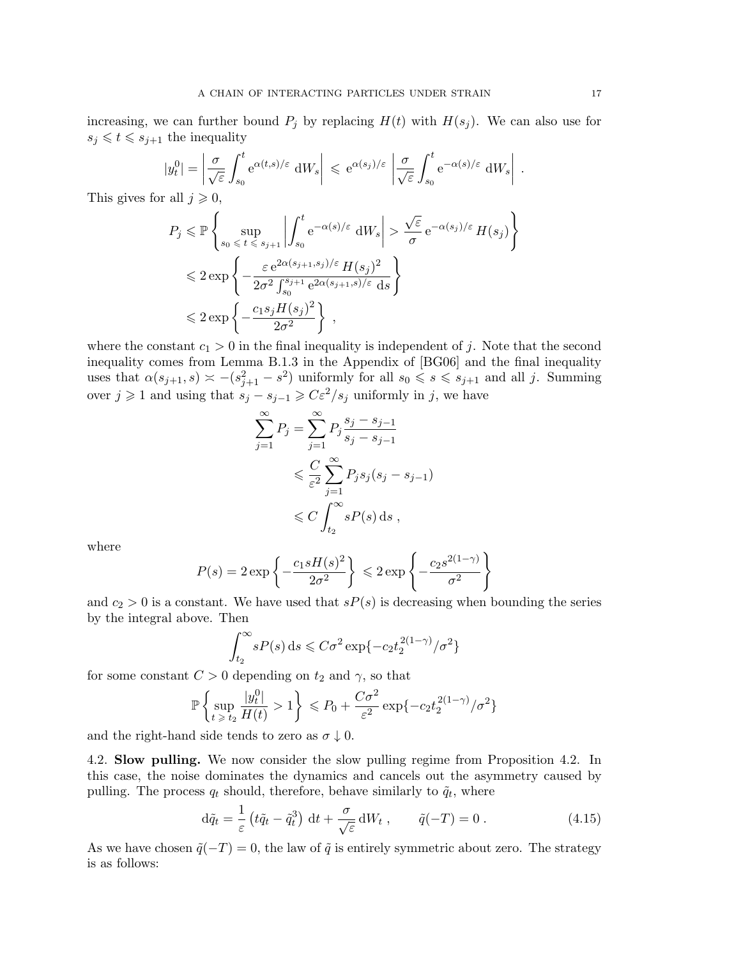increasing, we can further bound  $P_j$  by replacing  $H(t)$  with  $H(s_j)$ . We can also use for  $s_j \leq t \leq s_{j+1}$  the inequality

$$
|y_t^0| = \left| \frac{\sigma}{\sqrt{\varepsilon}} \int_{s_0}^t e^{\alpha(t,s)/\varepsilon} dW_s \right| \le e^{\alpha(s_j)/\varepsilon} \left| \frac{\sigma}{\sqrt{\varepsilon}} \int_{s_0}^t e^{-\alpha(s)/\varepsilon} dW_s \right|.
$$

This gives for all  $j \geqslant 0$ ,

$$
P_j \leq \mathbb{P}\left\{\sup_{s_0 \leq t \leq s_{j+1}} \left|\int_{s_0}^t e^{-\alpha(s)/\varepsilon} dW_s\right| > \frac{\sqrt{\varepsilon}}{\sigma} e^{-\alpha(s_j)/\varepsilon} H(s_j)\right\}
$$
  

$$
\leq 2 \exp\left\{-\frac{\varepsilon e^{2\alpha(s_{j+1}, s_j)/\varepsilon} H(s_j)^2}{2\sigma^2 \int_{s_0}^{s_{j+1}} e^{2\alpha(s_{j+1}, s)/\varepsilon} ds}\right\}
$$
  

$$
\leq 2 \exp\left\{-\frac{c_1 s_j H(s_j)^2}{2\sigma^2}\right\},
$$

where the constant  $c_1 > 0$  in the final inequality is independent of j. Note that the second inequality comes from Lemma B.1.3 in the Appendix of [BG06] and the final inequality uses that  $\alpha(s_{j+1}, s) \asymp -(s_{j+1}^2 - s^2)$  uniformly for all  $s_0 \leqslant s \leqslant s_{j+1}$  and all j. Summing over  $j \geq 1$  and using that  $s_j - s_{j-1} \geq C\varepsilon^2/s_j$  uniformly in j, we have

$$
\sum_{j=1}^{\infty} P_j = \sum_{j=1}^{\infty} P_j \frac{s_j - s_{j-1}}{s_j - s_{j-1}}
$$
  
\$\leqslant \frac{C}{\varepsilon^2} \sum\_{j=1}^{\infty} P\_j s\_j (s\_j - s\_{j-1})\$  
\$\leqslant C \int\_{t\_2}^{\infty} s P(s) \, \mathrm{d}s \,,

where

$$
P(s) = 2 \exp\left\{-\frac{c_1 s H(s)^2}{2\sigma^2}\right\} \le 2 \exp\left\{-\frac{c_2 s^{2(1-\gamma)}}{\sigma^2}\right\}
$$

and  $c_2 > 0$  is a constant. We have used that  $sP(s)$  is decreasing when bounding the series by the integral above. Then

$$
\int_{t_2}^{\infty} sP(s) \, ds \leq C\sigma^2 \exp\{-c_2 t_2^{2(1-\gamma)}/\sigma^2\}
$$

for some constant  $C > 0$  depending on  $t_2$  and  $\gamma$ , so that

$$
\mathbb{P}\left\{\sup_{t\geq t_2}\frac{|y_t^0|}{H(t)} > 1\right\} \leq P_0 + \frac{C\sigma^2}{\varepsilon^2}\exp\{-c_2t_2^{2(1-\gamma)}/\sigma^2\}
$$

and the right-hand side tends to zero as  $\sigma \downarrow 0$ .

4.2. Slow pulling. We now consider the slow pulling regime from Proposition 4.2. In this case, the noise dominates the dynamics and cancels out the asymmetry caused by pulling. The process  $q_t$  should, therefore, behave similarly to  $\tilde{q}_t$ , where

$$
d\tilde{q}_t = \frac{1}{\varepsilon} \left( t \tilde{q}_t - \tilde{q}_t^3 \right) dt + \frac{\sigma}{\sqrt{\varepsilon}} dW_t , \qquad \tilde{q}(-T) = 0 . \qquad (4.15)
$$

As we have chosen  $\tilde{q}(-T) = 0$ , the law of  $\tilde{q}$  is entirely symmetric about zero. The strategy is as follows: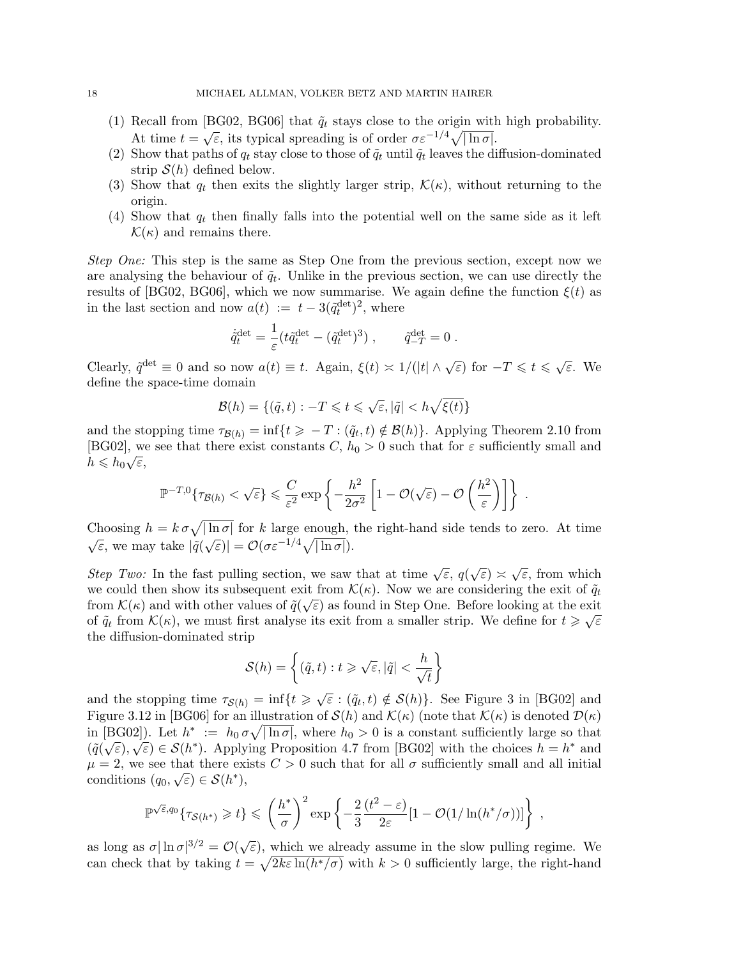- (1) Recall from [BG02, BG06] that  $\tilde{q}_t$  stays close to the origin with high probability. At time  $t = \sqrt{\varepsilon}$ , its typical spreading is of order  $\sigma \varepsilon^{-1/4} \sqrt{|\ln \sigma|}$ .
- (2) Show that paths of  $q_t$  stay close to those of  $\tilde{q}_t$  until  $\tilde{q}_t$  leaves the diffusion-dominated strip  $S(h)$  defined below.
- (3) Show that  $q_t$  then exits the slightly larger strip,  $\mathcal{K}(\kappa)$ , without returning to the origin.
- (4) Show that  $q_t$  then finally falls into the potential well on the same side as it left  $\mathcal{K}(\kappa)$  and remains there.

Step One: This step is the same as Step One from the previous section, except now we are analysing the behaviour of  $\tilde{q}_t$ . Unlike in the previous section, we can use directly the results of [BG02, BG06], which we now summarise. We again define the function  $\xi(t)$  as in the last section and now  $a(t) := t - 3(\tilde{q}_t^{\text{det}})^2$ , where

$$
\dot{\tilde{q}}_t^{\text{det}} = \frac{1}{\varepsilon} (t \tilde{q}_t^{\text{det}} - (\tilde{q}_t^{\text{det}})^3) , \qquad \tilde{q}_{-T}^{\text{det}} = 0 .
$$

Clearly,  $\tilde{q}^{\text{det}} \equiv 0$  and so now  $a(t) \equiv t$ . Again,  $\xi(t) \approx 1/(|t| \wedge \sqrt{\varepsilon})$  for  $-T \leq t \leq \sqrt{\varepsilon}$ . We define the space-time domain

$$
\mathcal{B}(h) = \{(\tilde{q}, t) : -T \leq t \leq \sqrt{\varepsilon}, |\tilde{q}| < h\sqrt{\xi(t)}\}
$$

and the stopping time  $\tau_{\mathcal{B}(h)} = \inf\{t \geq -T : (\tilde{q}_t, t) \notin \mathcal{B}(h)\}\)$ . Applying Theorem 2.10 from [BG02], we see that there exist constants  $C, h_0 > 0$  such that for  $\varepsilon$  sufficiently small and  $h \leqslant h_0 \sqrt{\varepsilon},$ 

$$
\mathbb{P}^{-T,0}\{\tau_{\mathcal{B}(h)} < \sqrt{\varepsilon}\} \leq \frac{C}{\varepsilon^2} \exp\left\{-\frac{h^2}{2\sigma^2}\left[1-\mathcal{O}(\sqrt{\varepsilon})-\mathcal{O}\left(\frac{h^2}{\varepsilon}\right)\right]\right\}.
$$

Choosing  $h = k \sigma \sqrt{\ln \sigma}$  for k large enough, the right-hand side tends to zero. At time Unoosing  $n = \pi \sigma \sqrt{|\ln \sigma|}$  for  $\pi$  range enough,<br>  $\sqrt{\varepsilon}$ , we may take  $|\tilde{q}(\sqrt{\varepsilon})| = O(\sigma \varepsilon^{-1/4} \sqrt{|\ln \sigma|}).$ 

Step Two: In the fast pulling section, we saw that at time  $\sqrt{\varepsilon}$ ,  $q(\sqrt{\varepsilon}) \asymp \sqrt{\varepsilon}$ , from which we could then show its subsequent exit from  $\mathcal{K}(\kappa)$ . Now we are considering the exit of  $\tilde{q}_t$ from  $\mathcal{K}(\kappa)$  and with other values of  $\tilde{q}(\sqrt{\varepsilon})$  as found in Step One. Before looking at the exit of  $\tilde{q}_t$  from  $\mathcal{K}(\kappa)$ , we must first analyse its exit from a smaller strip. We define for  $t \geqslant \sqrt{\varepsilon}$ the diffusion-dominated strip

$$
\mathcal{S}(h) = \left\{ (\tilde{q}, t) : t \geqslant \sqrt{\varepsilon}, |\tilde{q}| < \frac{h}{\sqrt{t}} \right\}
$$

and the stopping time  $\tau_{S(h)} = \inf\{t \geq \sqrt{\varepsilon} : (\tilde{q}_t, t) \notin S(h)\}\.$  See Figure 3 in [BG02] and Figure 3.12 in [BG06] for an illustration of  $\mathcal{S}(h)$  and  $\mathcal{K}(\kappa)$  (note that  $\mathcal{K}(\kappa)$  is denoted  $\mathcal{D}(\kappa)$ in [BG02]). Let  $h^* := h_0 \sigma \sqrt{|\ln \sigma|}$ , where  $h_0 > 0$  is a constant sufficiently large so that  $(\tilde{q}(\sqrt{\varepsilon}), \sqrt{\varepsilon}) \in \mathcal{S}(h^*)$ . Applying Proposition 4.7 from [BG02] with the choices  $h = h^*$  and  $\mu = 2$ , we see that there exists  $C > 0$  such that for all  $\sigma$  sufficiently small and all initial conditions  $(q_0, \sqrt{\varepsilon}) \in \mathcal{S}(h^*),$ 

$$
\mathbb{P}^{\sqrt{\varepsilon},q_0}\{\tau_{\mathcal{S}(h^*)}\geq t\}\leq \left(\frac{h^*}{\sigma}\right)^2\exp\left\{-\frac{2}{3}\frac{(t^2-\varepsilon)}{2\varepsilon}[1-\mathcal{O}(1/\ln(h^*/\sigma))]\right\}\;,
$$

as long as  $\sigma |\ln \sigma|^{3/2} = \mathcal{O}(\sqrt{\varepsilon})$ , which we already assume in the slow pulling regime. We can check that by taking  $t = \sqrt{2k\varepsilon \ln(h^*/\sigma)}$  with  $k > 0$  sufficiently large, the right-hand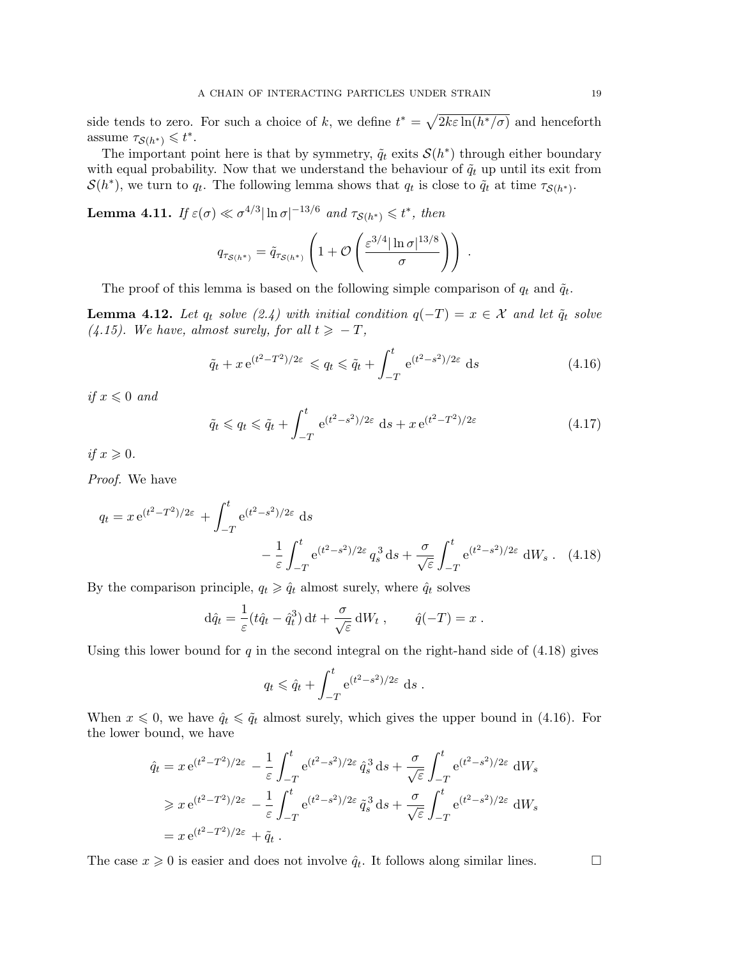side tends to zero. For such a choice of k, we define  $t^* = \sqrt{2k\varepsilon \ln(h^*/\sigma)}$  and henceforth assume  $\tau_{\mathcal{S}(h^*)} \leqslant t^*$ .

The important point here is that by symmetry,  $\tilde{q}_t$  exits  $\mathcal{S}(h^*)$  through either boundary with equal probability. Now that we understand the behaviour of  $\tilde{q}_t$  up until its exit from  $\mathcal{S}(h^*)$ , we turn to  $q_t$ . The following lemma shows that  $q_t$  is close to  $\tilde{q}_t$  at time  $\tau_{\mathcal{S}(h^*)}$ .

**Lemma 4.11.** If  $\varepsilon(\sigma) \ll \sigma^{4/3} |\ln \sigma|^{-13/6}$  and  $\tau_{\mathcal{S}(h^*)} \leq t^*$ , then

$$
q_{\tau_{S(h^*)}} = \tilde{q}_{\tau_{S(h^*)}} \left( 1 + \mathcal{O} \left( \frac{\varepsilon^{3/4} |\ln \sigma|^{13/8}}{\sigma} \right) \right) .
$$

The proof of this lemma is based on the following simple comparison of  $q_t$  and  $\tilde{q}_t$ .

**Lemma 4.12.** Let  $q_t$  solve (2.4) with initial condition  $q(-T) = x \in \mathcal{X}$  and let  $\tilde{q}_t$  solve (4.15). We have, almost surely, for all  $t \geq -T$ ,

$$
\tilde{q}_t + x e^{(t^2 - T^2)/2\varepsilon} \le q_t \le \tilde{q}_t + \int_{-T}^t e^{(t^2 - s^2)/2\varepsilon} ds \tag{4.16}
$$

if  $x \leq 0$  and

$$
\tilde{q}_t \le q_t \le \tilde{q}_t + \int_{-T}^t e^{(t^2 - s^2)/2\varepsilon} ds + x e^{(t^2 - T^2)/2\varepsilon}
$$
\n(4.17)

if  $x \geqslant 0$ .

Proof. We have

$$
q_t = x e^{(t^2 - T^2)/2\varepsilon} + \int_{-T}^t e^{(t^2 - s^2)/2\varepsilon} ds - \frac{1}{\varepsilon} \int_{-T}^t e^{(t^2 - s^2)/2\varepsilon} q_s^3 ds + \frac{\sigma}{\sqrt{\varepsilon}} \int_{-T}^t e^{(t^2 - s^2)/2\varepsilon} dW_s.
$$
 (4.18)

By the comparison principle,  $q_t \geq \hat{q}_t$  almost surely, where  $\hat{q}_t$  solves

$$
\mathrm{d}\hat{q}_t = \frac{1}{\varepsilon}(t\hat{q}_t - \hat{q}_t^3) \,\mathrm{d}t + \frac{\sigma}{\sqrt{\varepsilon}} \,\mathrm{d}W_t \;, \qquad \hat{q}(-T) = x \; .
$$

Using this lower bound for  $q$  in the second integral on the right-hand side of  $(4.18)$  gives

$$
q_t \leq \hat{q}_t + \int_{-T}^t e^{(t^2 - s^2)/2\varepsilon} ds.
$$

When  $x \leq 0$ , we have  $\hat{q}_t \leq \tilde{q}_t$  almost surely, which gives the upper bound in (4.16). For the lower bound, we have

$$
\hat{q}_t = x e^{(t^2 - T^2)/2\varepsilon} - \frac{1}{\varepsilon} \int_{-T}^t e^{(t^2 - s^2)/2\varepsilon} \hat{q}_s^3 ds + \frac{\sigma}{\sqrt{\varepsilon}} \int_{-T}^t e^{(t^2 - s^2)/2\varepsilon} dW_s
$$
  
\n
$$
\geq x e^{(t^2 - T^2)/2\varepsilon} - \frac{1}{\varepsilon} \int_{-T}^t e^{(t^2 - s^2)/2\varepsilon} \tilde{q}_s^3 ds + \frac{\sigma}{\sqrt{\varepsilon}} \int_{-T}^t e^{(t^2 - s^2)/2\varepsilon} dW_s
$$
  
\n
$$
= x e^{(t^2 - T^2)/2\varepsilon} + \tilde{q}_t.
$$

The case  $x \ge 0$  is easier and does not involve  $\hat{q}_t$ . It follows along similar lines.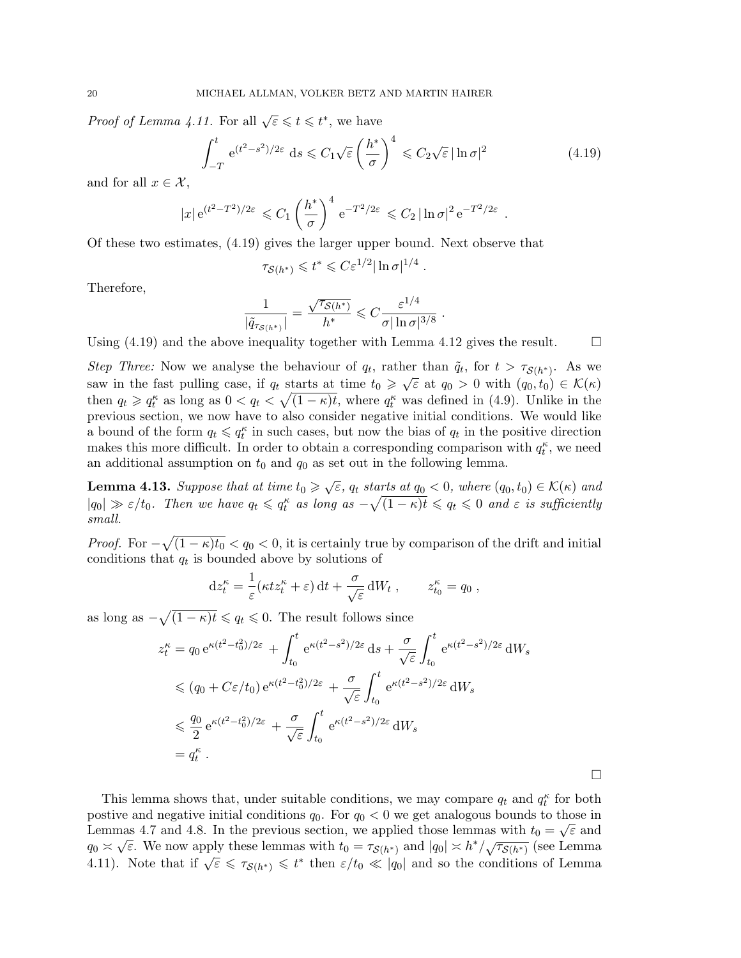*Proof of Lemma 4.11.* For all  $\sqrt{\varepsilon} \leq t \leq t^*$ , we have

$$
\int_{-T}^{t} e^{(t^2 - s^2)/2\varepsilon} ds \leq C_1 \sqrt{\varepsilon} \left(\frac{h^*}{\sigma}\right)^4 \leq C_2 \sqrt{\varepsilon} |\ln \sigma|^2 \tag{4.19}
$$

and for all  $x \in \mathcal{X}$ ,

$$
|x| e^{(t^2 - T^2)/2\varepsilon} \leq C_1 \left(\frac{h^*}{\sigma}\right)^4 e^{-T^2/2\varepsilon} \leq C_2 |\ln \sigma|^2 e^{-T^2/2\varepsilon}
$$

Of these two estimates, (4.19) gives the larger upper bound. Next observe that

$$
\tau_{\mathcal{S}(h^*)} \leqslant t^* \leqslant C \varepsilon^{1/2} |\ln \sigma|^{1/4} .
$$

Therefore,

$$
\frac{1}{|\tilde{q}_{\tau_{\mathcal{S}(h^*)}}|} = \frac{\sqrt{\tau_{\mathcal{S}(h^*)}}}{h^*} \leqslant C \frac{\varepsilon^{1/4}}{\sigma |\ln \sigma|^{3/8}}.
$$

Using  $(4.19)$  and the above inequality together with Lemma 4.12 gives the result.  $\Box$ 

Step Three: Now we analyse the behaviour of  $q_t$ , rather than  $\tilde{q}_t$ , for  $t > \tau_{S(h^*)}$ . As we saw in the fast pulling case, if  $q_t$  starts at time  $t_0 \geq \sqrt{\varepsilon}$  at  $q_0 > 0$  with  $(q_0, t_0) \in \mathcal{K}(\kappa)$ then  $q_t \geqslant q_t^{\kappa}$  as long as  $0 < q_t < \sqrt{(1 - \kappa)t}$ , where  $q_t^{\kappa}$  was defined in (4.9). Unlike in the previous section, we now have to also consider negative initial conditions. We would like a bound of the form  $q_t \leqslant q_t^{\kappa}$  in such cases, but now the bias of  $q_t$  in the positive direction makes this more difficult. In order to obtain a corresponding comparison with  $q_t^{\kappa}$ , we need an additional assumption on  $t_0$  and  $q_0$  as set out in the following lemma.

**Lemma 4.13.** Suppose that at time  $t_0 \geq \sqrt{\varepsilon}$ ,  $q_t$  starts at  $q_0 < 0$ , where  $(q_0, t_0) \in \mathcal{K}(\kappa)$  and  $|q_0| \gg \varepsilon/t_0$ . Then we have  $q_t \leqslant q_t^{\kappa}$  as long as  $-\sqrt{(1-\kappa)t} \leqslant q_t \leqslant 0$  and  $\varepsilon$  is sufficiently small.

*Proof.* For  $-\sqrt{(1-\kappa)t_0} < q_0 < 0$ , it is certainly true by comparison of the drift and initial conditions that  $q_t$  is bounded above by solutions of

$$
\mathrm{d}z_t^{\kappa} = \frac{1}{\varepsilon} (\kappa t z_t^{\kappa} + \varepsilon) \, \mathrm{d}t + \frac{\sigma}{\sqrt{\varepsilon}} \, \mathrm{d}W_t \;, \qquad z_{t_0}^{\kappa} = q_0 \;,
$$

as long as  $-\sqrt{(1-\kappa)t} \leqslant q_t \leqslant 0$ . The result follows since

$$
z_t^{\kappa} = q_0 e^{\kappa (t^2 - t_0^2)/2\varepsilon} + \int_{t_0}^t e^{\kappa (t^2 - s^2)/2\varepsilon} ds + \frac{\sigma}{\sqrt{\varepsilon}} \int_{t_0}^t e^{\kappa (t^2 - s^2)/2\varepsilon} dW_s
$$
  
\n
$$
\leq (q_0 + C\varepsilon/t_0) e^{\kappa (t^2 - t_0^2)/2\varepsilon} + \frac{\sigma}{\sqrt{\varepsilon}} \int_{t_0}^t e^{\kappa (t^2 - s^2)/2\varepsilon} dW_s
$$
  
\n
$$
\leq \frac{q_0}{2} e^{\kappa (t^2 - t_0^2)/2\varepsilon} + \frac{\sigma}{\sqrt{\varepsilon}} \int_{t_0}^t e^{\kappa (t^2 - s^2)/2\varepsilon} dW_s
$$
  
\n
$$
= q_t^{\kappa}.
$$

This lemma shows that, under suitable conditions, we may compare  $q_t$  and  $q_t^{\kappa}$  for both postive and negative initial conditions  $q_0$ . For  $q_0 < 0$  we get analogous bounds to those in Lemmas 4.7 and 4.8. In the previous section, we applied those lemmas with  $t_0 = \sqrt{\varepsilon}$  and  $q_0 \approx \sqrt{\varepsilon}$ . We now apply these lemmas with  $t_0 = \tau_{S(h^*)}$  and  $|q_0| \approx h^*/\sqrt{\tau_{S(h^*)}}$  (see Lemma 4.11). Note that if  $\sqrt{\varepsilon} \leq \tau_{S(h^*)} \leq t^*$  then  $\varepsilon/t_0 \ll |q_0|$  and so the conditions of Lemma

 $\Box$ 

.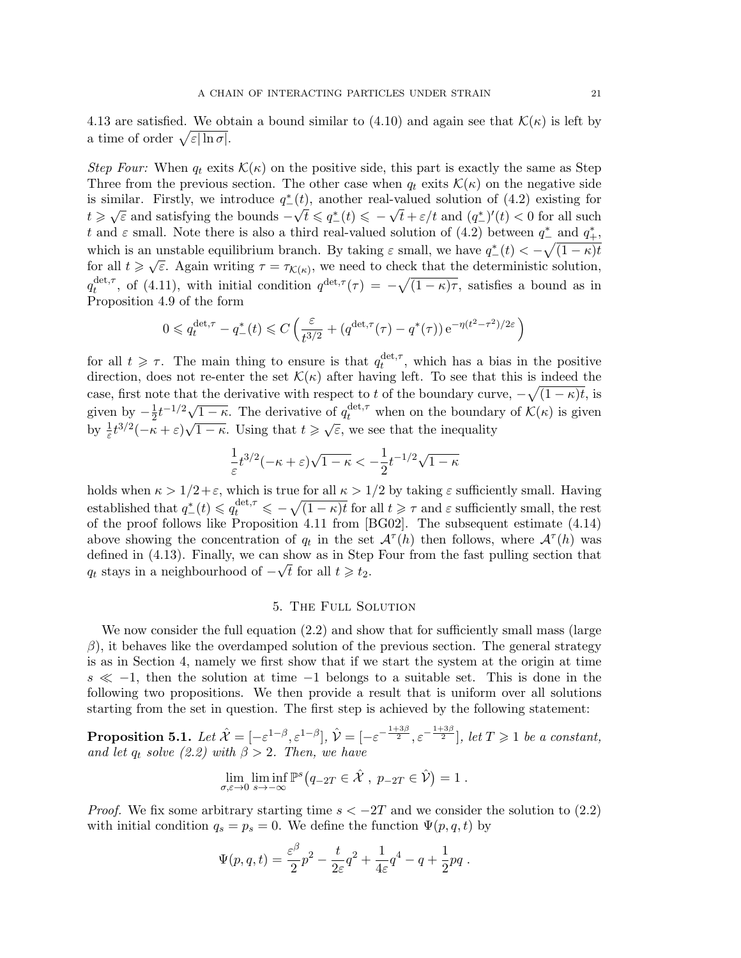4.13 are satisfied. We obtain a bound similar to (4.10) and again see that  $\mathcal{K}(\kappa)$  is left by a time of order  $\sqrt{\varepsilon |\ln \sigma|}$ .

Step Four: When  $q_t$  exits  $\mathcal{K}(\kappa)$  on the positive side, this part is exactly the same as Step Three from the previous section. The other case when  $q_t$  exits  $\mathcal{K}(\kappa)$  on the negative side is similar. Firstly, we introduce  $q^*(t)$ , another real-valued solution of (4.2) existing for t  $\geq \sqrt{\varepsilon}$  and satisfying the bounds  $-\sqrt{t} \leq q^*(t) \leq -\sqrt{t} + \varepsilon/t$  and  $(q^*)'(t) < 0$  for all such t and  $\varepsilon$  small. Note there is also a third real-valued solution of (4.2) between  $q_{-}^{*}$  and  $q_{+}^{*}$ , which is an unstable equilibrium branch. By taking  $\varepsilon$  small, we have  $q^*(t) < -\sqrt{(1 - \kappa)t}$ for all  $t \geq \sqrt{\varepsilon}$ . Again writing  $\tau = \tau_{\mathcal{K}(\kappa)}$ , we need to check that the deterministic solution,  $q_t^{\mathrm{det},\tau}$  $t_t^{\text{det},\tau}$ , of (4.11), with initial condition  $q^{\text{det},\tau}(\tau) = -\sqrt{(1-\kappa)\tau}$ , satisfies a bound as in Proposition 4.9 of the form

$$
0 \leqslant q_t^{\text{det},\tau} - q_-^*(t) \leqslant C \left( \frac{\varepsilon}{t^{3/2}} + (q^{\text{det},\tau}(\tau) - q^*(\tau))\, \mathrm{e}^{-\eta(t^2-\tau^2)/2\varepsilon} \, \right)
$$

for all  $t \geq \tau$ . The main thing to ensure is that  $q_t^{\text{det}, \tau}$  $t_t^{\text{det},\tau}$ , which has a bias in the positive direction, does not re-enter the set  $\mathcal{K}(\kappa)$  after having left. To see that this is indeed the case, first note that the derivative with respect to t of the boundary curve,  $-\sqrt{(1-\kappa)t}$ , is given by  $-\frac{1}{2}$  $\frac{1}{2}t^{-1/2}\sqrt{}$ <sup>2</sup> $\sqrt{1-\kappa}$ . The derivative of  $q_t^{\det,\tau}$  when on the boundary of  $\mathcal{K}(\kappa)$  is given by  $\frac{1}{\varepsilon}t^{3/2}(-\kappa+\varepsilon)\sqrt{1-\kappa}$ . Using that  $t \geqslant \sqrt{\varepsilon}$ , we see that the inequality

$$
\frac{1}{\varepsilon}t^{3/2}(-\kappa+\varepsilon)\sqrt{1-\kappa}<-\frac{1}{2}t^{-1/2}\sqrt{1-\kappa}
$$

holds when  $\kappa > 1/2 + \varepsilon$ , which is true for all  $\kappa > 1/2$  by taking  $\varepsilon$  sufficiently small. Having established that  $q_-^*(t) \leqslant q_t^{\det,\tau} \leqslant -\sqrt{(1-\kappa)t}$  for all  $t \geqslant \tau$  and  $\varepsilon$  sufficiently small, the rest of the proof follows like Proposition 4.11 from [BG02]. The subsequent estimate (4.14) above showing the concentration of  $q_t$  in the set  $\mathcal{A}^\tau(h)$  then follows, where  $\mathcal{A}^\tau(h)$  was defined in  $(4.13)$ . Finally, we can show as in Step Four from the fast pulling section that  $q_t$  stays in a neighbourhood of  $-\sqrt{t}$  for all  $t \geq t_2$ .

### 5. The Full Solution

We now consider the full equation  $(2.2)$  and show that for sufficiently small mass (large  $\beta$ ), it behaves like the overdamped solution of the previous section. The general strategy is as in Section 4, namely we first show that if we start the system at the origin at time s  $\ll$  -1, then the solution at time -1 belongs to a suitable set. This is done in the following two propositions. We then provide a result that is uniform over all solutions starting from the set in question. The first step is achieved by the following statement:

**Proposition 5.1.** Let  $\hat{\mathcal{X}} = [-\varepsilon^{1-\beta}, \varepsilon^{1-\beta}], \hat{\mathcal{V}} = [-\varepsilon^{-\frac{1+3\beta}{2}}, \varepsilon^{-\frac{1+3\beta}{2}}], \text{ let } T \geqslant 1 \text{ be a constant},$ and let  $q_t$  solve (2.2) with  $\beta > 2$ . Then, we have

$$
\lim_{\sigma,\varepsilon \to 0} \liminf_{s \to -\infty} \mathbb{P}^s(q_{-2T} \in \hat{\mathcal{X}}, p_{-2T} \in \hat{\mathcal{V}}) = 1.
$$

*Proof.* We fix some arbitrary starting time  $s < -2T$  and we consider the solution to (2.2) with initial condition  $q_s = p_s = 0$ . We define the function  $\Psi(p,q,t)$  by

$$
\Psi(p,q,t) = \frac{\varepsilon^{\beta}}{2}p^2 - \frac{t}{2\varepsilon}q^2 + \frac{1}{4\varepsilon}q^4 - q + \frac{1}{2}pq.
$$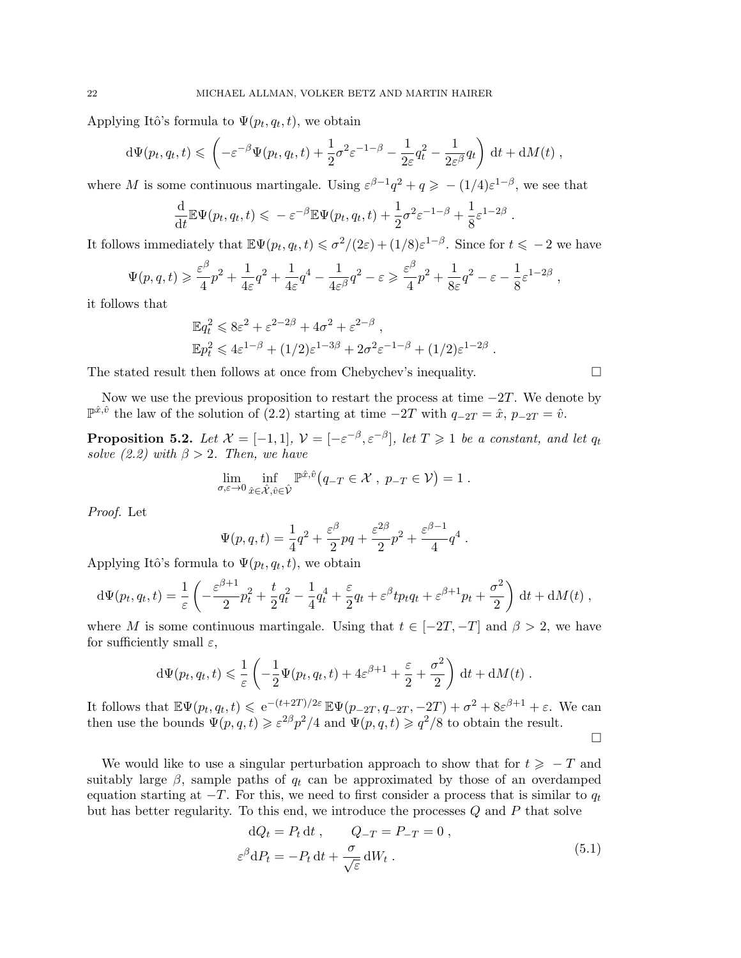Applying Itô's formula to  $\Psi(p_t, q_t, t)$ , we obtain

$$
d\Psi(p_t, q_t, t) \leqslant \left(-\varepsilon^{-\beta}\Psi(p_t, q_t, t) + \frac{1}{2}\sigma^2\varepsilon^{-1-\beta} - \frac{1}{2\varepsilon}q_t^2 - \frac{1}{2\varepsilon^{\beta}}q_t\right) dt + dM(t),
$$

where M is some continuous martingale. Using  $\varepsilon^{\beta-1}q^2 + q \ge -\frac{1}{4}\varepsilon^{1-\beta}$ , we see that

$$
\frac{\mathrm{d}}{\mathrm{d}t} \mathbb{E} \Psi(p_t, q_t, t) \leqslant -\varepsilon^{-\beta} \mathbb{E} \Psi(p_t, q_t, t) + \frac{1}{2} \sigma^2 \varepsilon^{-1-\beta} + \frac{1}{8} \varepsilon^{1-2\beta}
$$

It follows immediately that  $\mathbb{E}\Psi(p_t, q_t, t) \leq \sigma^2/(2\varepsilon) + (1/8)\varepsilon^{1-\beta}$ . Since for  $t \leq -2$  we have

$$
\Psi(p,q,t) \geq \frac{\varepsilon^{\beta}}{4}p^2 + \frac{1}{4\varepsilon}q^2 + \frac{1}{4\varepsilon}q^4 - \frac{1}{4\varepsilon^{\beta}}q^2 - \varepsilon \geq \frac{\varepsilon^{\beta}}{4}p^2 + \frac{1}{8\varepsilon}q^2 - \varepsilon - \frac{1}{8}\varepsilon^{1-2\beta},
$$

it follows that

$$
\mathbb{E}q_t^2 \leq 8\varepsilon^2 + \varepsilon^{2-2\beta} + 4\sigma^2 + \varepsilon^{2-\beta} ,
$$
  

$$
\mathbb{E}p_t^2 \leq 4\varepsilon^{1-\beta} + (1/2)\varepsilon^{1-3\beta} + 2\sigma^2\varepsilon^{-1-\beta} + (1/2)\varepsilon^{1-2\beta} .
$$

The stated result then follows at once from Chebychev's inequality.  $\Box$ 

.

Now we use the previous proposition to restart the process at time  $-2T$ . We denote by  $\mathbb{P}^{\hat{x},\hat{v}}$  the law of the solution of (2.2) starting at time  $-2T$  with  $q_{-2T} = \hat{x}, p_{-2T} = \hat{v}$ .

**Proposition 5.2.** Let  $\mathcal{X} = [-1, 1], \mathcal{V} = [-\varepsilon^{-\beta}, \varepsilon^{-\beta}],$  let  $T \geq 1$  be a constant, and let  $q_t$ solve (2.2) with  $\beta > 2$ . Then, we have

$$
\lim_{\sigma,\varepsilon\to 0}\inf_{\hat{x}\in\hat{\mathcal{X}},\hat{v}\in\hat{\mathcal{V}}}\mathbb{P}^{\hat{x},\hat{v}}(q_{-T}\in\mathcal{X}, p_{-T}\in\mathcal{V})=1.
$$

Proof. Let

$$
\Psi(p,q,t)=\frac{1}{4}q^2+\frac{\varepsilon^{\beta}}{2}pq+\frac{\varepsilon^{2\beta}}{2}p^2+\frac{\varepsilon^{\beta-1}}{4}q^4\;.
$$

Applying Itô's formula to  $\Psi(p_t, q_t, t)$ , we obtain

$$
d\Psi(p_t, q_t, t) = \frac{1}{\varepsilon} \left( -\frac{\varepsilon^{\beta+1}}{2} p_t^2 + \frac{t}{2} q_t^2 - \frac{1}{4} q_t^4 + \frac{\varepsilon}{2} q_t + \varepsilon^\beta t p_t q_t + \varepsilon^{\beta+1} p_t + \frac{\sigma^2}{2} \right) dt + dM(t) ,
$$

where M is some continuous martingale. Using that  $t \in [-2T, -T]$  and  $\beta > 2$ , we have for sufficiently small  $\varepsilon$ ,

$$
d\Psi(p_t, q_t, t) \leq \frac{1}{\varepsilon} \left( -\frac{1}{2} \Psi(p_t, q_t, t) + 4\varepsilon^{\beta+1} + \frac{\varepsilon}{2} + \frac{\sigma^2}{2} \right) dt + dM(t).
$$

It follows that  $\mathbb{E}\Psi(p_t, q_t, t) \leqslant e^{-(t+2T)/2\varepsilon} \mathbb{E}\Psi(p_{-2T}, q_{-2T}, -2T) + \sigma^2 + 8\varepsilon^{\beta+1} + \varepsilon$ . We can then use the bounds  $\Psi(p,q,t) \geq \varepsilon^{2\beta} p^2/4$  and  $\Psi(p,q,t) \geq q^2/8$  to obtain the result.

 $\Box$ 

We would like to use a singular perturbation approach to show that for  $t \geq -T$  and suitably large  $\beta$ , sample paths of  $q_t$  can be approximated by those of an overdamped equation starting at  $-T$ . For this, we need to first consider a process that is similar to  $q_t$ but has better regularity. To this end, we introduce the processes  $Q$  and  $P$  that solve

$$
dQ_t = P_t dt, \qquad Q_{-T} = P_{-T} = 0,
$$
  

$$
\varepsilon^{\beta} dP_t = -P_t dt + \frac{\sigma}{\sqrt{\varepsilon}} dW_t.
$$
 (5.1)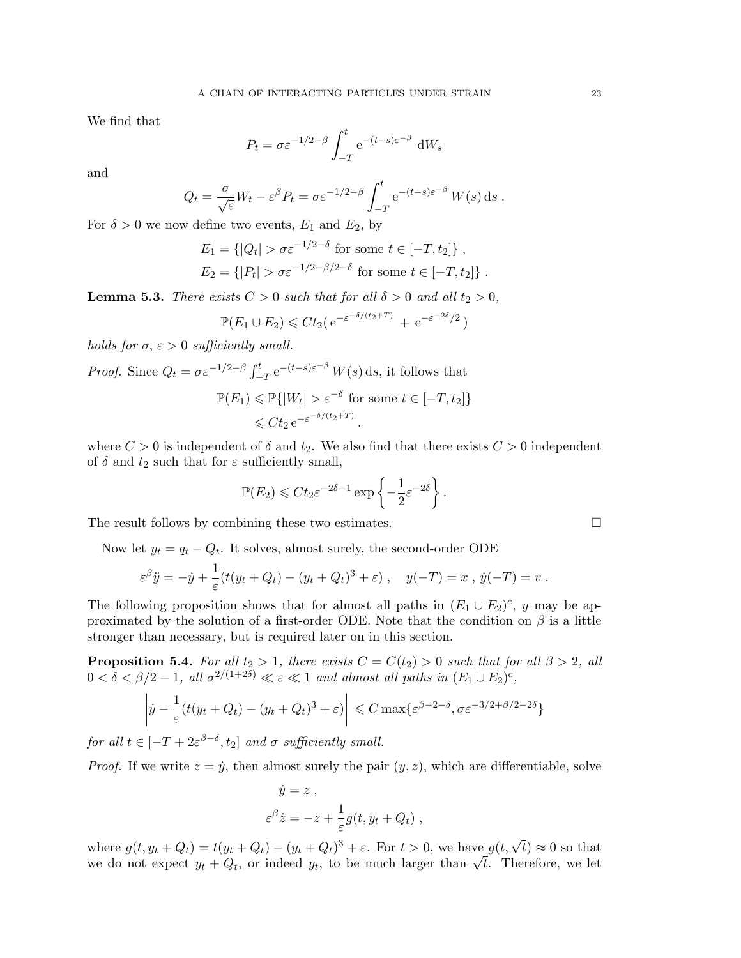We find that

$$
P_t = \sigma \varepsilon^{-1/2-\beta} \int_{-T}^{t} e^{-(t-s)\varepsilon^{-\beta}} dW_s
$$

and

$$
Q_t = \frac{\sigma}{\sqrt{\varepsilon}} W_t - \varepsilon^{\beta} P_t = \sigma \varepsilon^{-1/2-\beta} \int_{-T}^t e^{-(t-s)\varepsilon^{-\beta}} W(s) \,ds.
$$

For  $\delta > 0$  we now define two events,  $E_1$  and  $E_2$ , by

$$
E_1 = \{ |Q_t| > \sigma \varepsilon^{-1/2 - \delta} \text{ for some } t \in [-T, t_2] \},
$$
  
\n
$$
E_2 = \{ |P_t| > \sigma \varepsilon^{-1/2 - \beta/2 - \delta} \text{ for some } t \in [-T, t_2] \}.
$$

**Lemma 5.3.** There exists  $C > 0$  such that for all  $\delta > 0$  and all  $t_2 > 0$ ,

$$
\mathbb{P}(E_1 \cup E_2) \leq C t_2 (e^{-\varepsilon^{-\delta/(t_2+T)}} + e^{-\varepsilon^{-2\delta}/2})
$$

holds for  $\sigma$ ,  $\varepsilon > 0$  sufficiently small.

*Proof.* Since  $Q_t = \sigma \varepsilon^{-1/2-\beta} \int_{-T}^{t} e^{-(t-s)\varepsilon^{-\beta}} W(s) ds$ , it follows that

$$
\mathbb{P}(E_1) \le \mathbb{P}\{|W_t| > \varepsilon^{-\delta} \text{ for some } t \in [-T, t_2]\}
$$
  
\$\le Ct\_2 \,\mathrm{e}^{-\varepsilon^{-\delta/(t\_2+T)}}\$

where  $C > 0$  is independent of  $\delta$  and  $t_2$ . We also find that there exists  $C > 0$  independent of  $\delta$  and  $t_2$  such that for  $\varepsilon$  sufficiently small,

$$
\mathbb{P}(E_2) \leqslant C t_2 \varepsilon^{-2\delta - 1} \exp \left\{ -\frac{1}{2} \varepsilon^{-2\delta} \right\}.
$$

The result follows by combining these two estimates.

Now let  $y_t = q_t - Q_t$ . It solves, almost surely, the second-order ODE

$$
\varepsilon^{\beta}\ddot{y} = -\dot{y} + \frac{1}{\varepsilon}(t(y_t + Q_t) - (y_t + Q_t)^3 + \varepsilon), \quad y(-T) = x, \ \dot{y}(-T) = v.
$$

The following proposition shows that for almost all paths in  $(E_1 \cup E_2)^c$ , y may be approximated by the solution of a first-order ODE. Note that the condition on  $\beta$  is a little stronger than necessary, but is required later on in this section.

**Proposition 5.4.** For all  $t_2 > 1$ , there exists  $C = C(t_2) > 0$  such that for all  $\beta > 2$ , all  $0 < \delta < \beta/2 - 1$ , all  $\sigma^{2/(1+2\delta)} \ll \varepsilon \ll 1$  and almost all paths in  $(E_1 \cup E_2)^c$ ,

$$
\left| \dot{y} - \frac{1}{\varepsilon} (t(y_t + Q_t) - (y_t + Q_t)^3 + \varepsilon) \right| \leq C \max \{ \varepsilon^{\beta - 2 - \delta}, \sigma \varepsilon^{-3/2 + \beta/2 - 2\delta} \}
$$

for all  $t \in [-T + 2\varepsilon^{\beta-\delta}, t_2]$  and  $\sigma$  sufficiently small.

*Proof.* If we write  $z = \dot{y}$ , then almost surely the pair  $(y, z)$ , which are differentiable, solve

$$
\dot{y} = z ,
$$
  

$$
\varepsilon^{\beta} \dot{z} = -z + \frac{1}{\varepsilon} g(t, y_t + Q_t) ,
$$

where  $g(t, y_t + Q_t) = t(y_t + Q_t) - (y_t + Q_t)^3 + \varepsilon$ . For  $t > 0$ , we have  $g(t, \sqrt{t}) \approx 0$  so that where  $g(t, y_t + Q_t) = t(y_t + Q_t) - (y_t + Q_t)^2 + \varepsilon$ . For  $t > 0$ , we have  $g(t, \nabla t) \approx 0$  so that we do not expect  $y_t + Q_t$ , or indeed  $y_t$ , to be much larger than  $\sqrt{t}$ . Therefore, we let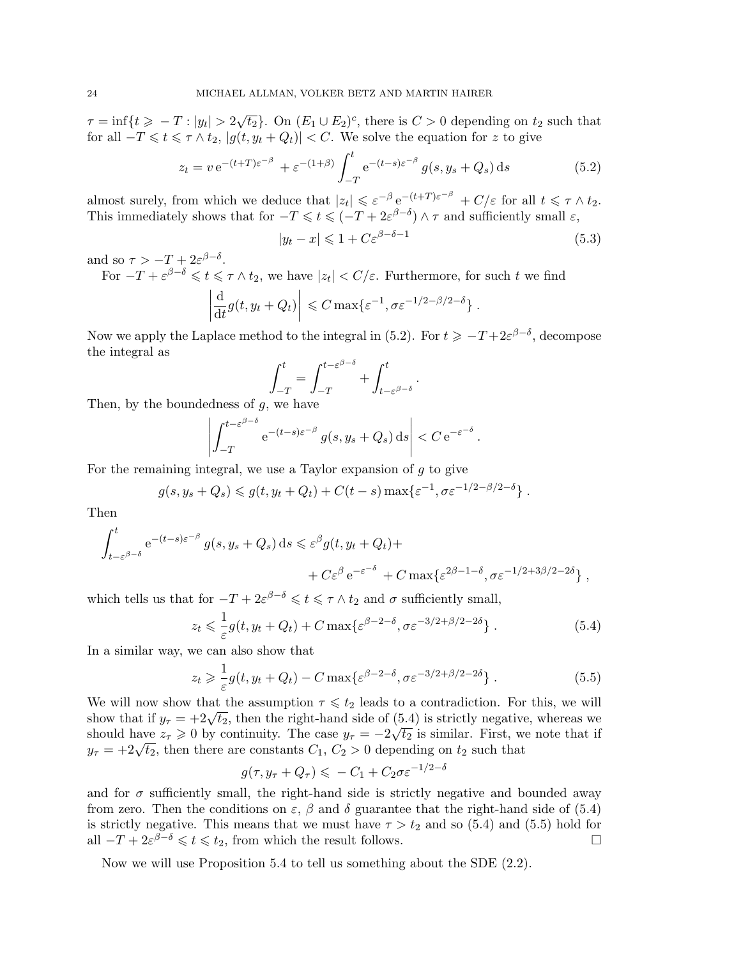$\tau = \inf\{t \geq -T : |y_t| > 2\}$ √  $\overline{t_2}$ . On  $(E_1 \cup E_2)^c$ , there is  $C > 0$  depending on  $t_2$  such that for all  $-T \leq t \leq \tau \wedge t_2$ ,  $|g(t, y_t + Q_t)| < C$ . We solve the equation for z to give

$$
z_t = v e^{-(t+T)\varepsilon^{-\beta}} + \varepsilon^{-(1+\beta)} \int_{-T}^t e^{-(t-s)\varepsilon^{-\beta}} g(s, y_s + Q_s) ds \tag{5.2}
$$

almost surely, from which we deduce that  $|z_t| \leq \varepsilon^{-\beta} e^{-(t+T)\varepsilon^{-\beta}} + C/\varepsilon$  for all  $t \leq \tau \wedge t_2$ . This immediately shows that for  $-T \leqslant t \leqslant (-T + 2\varepsilon^{\beta-\delta}) \wedge \tau$  and sufficiently small  $\varepsilon$ ,

$$
|y_t - x| \leq 1 + C\varepsilon^{\beta - \delta - 1} \tag{5.3}
$$

and so  $\tau > -T + 2\varepsilon^{\beta-\delta}$ .

For  $-T + \varepsilon^{\beta-\delta} \leqslant t \leqslant \tau \wedge t_2$ , we have  $|z_t| < C/\varepsilon$ . Furthermore, for such t we find

$$
\left|\frac{\mathrm{d}}{\mathrm{d}t}g(t,y_t+Q_t)\right| \leqslant C \max\{\varepsilon^{-1},\sigma\varepsilon^{-1/2-\beta/2-\delta}\}\ .
$$

Now we apply the Laplace method to the integral in (5.2). For  $t \geq -T + 2\varepsilon^{\beta-\delta}$ , decompose the integral as

$$
\int_{-T}^{t} = \int_{-T}^{t - \varepsilon^{\beta - \delta}} + \int_{t - \varepsilon^{\beta - \delta}}^{t}.
$$

Then, by the boundedness of  $g$ , we have

$$
\left| \int_{-T}^{t-\varepsilon^{\beta-\delta}} \mathrm{e}^{-(t-s)\varepsilon^{-\beta}} g(s, y_s + Q_s) \, \mathrm{d}s \right| < C \, \mathrm{e}^{-\varepsilon^{-\delta}} \, .
$$

For the remaining integral, we use a Taylor expansion of  $g$  to give

$$
g(s, y_s + Q_s) \leq g(t, y_t + Q_t) + C(t - s) \max\{\varepsilon^{-1}, \sigma \varepsilon^{-1/2 - \beta/2 - \delta}\}.
$$

Then

$$
\int_{t-\varepsilon^{\beta-\delta}}^{t} e^{-(t-s)\varepsilon^{-\beta}} g(s, y_s + Q_s) ds \leq \varepsilon^{\beta} g(t, y_t + Q_t) +
$$
  
+  $C\varepsilon^{\beta} e^{-\varepsilon^{-\delta}} + C \max\{\varepsilon^{2\beta-1-\delta}, \sigma \varepsilon^{-1/2+3\beta/2-2\delta}\},$ 

which tells us that for  $-T + 2\varepsilon^{\beta-\delta} \leqslant t \leqslant \tau \wedge t_2$  and  $\sigma$  sufficiently small,

$$
z_t \leq \frac{1}{\varepsilon} g(t, y_t + Q_t) + C \max\{\varepsilon^{\beta - 2 - \delta}, \sigma \varepsilon^{-3/2 + \beta/2 - 2\delta}\}.
$$
 (5.4)

In a similar way, we can also show that

$$
z_t \geq \frac{1}{\varepsilon} g(t, y_t + Q_t) - C \max\{\varepsilon^{\beta - 2 - \delta}, \sigma \varepsilon^{-3/2 + \beta/2 - 2\delta}\}.
$$
 (5.5)

We will now show that the assumption  $\tau \leq t_2$  leads to a contradiction. For this, we will we will now show that the assumption  $\tau \leq t_2$  reads to a contradiction. For this, we will<br>show that if  $y_\tau = +2\sqrt{t_2}$ , then the right-hand side of (5.4) is strictly negative, whereas we should have  $z_{\tau} \geq 0$  by continuity. The case  $y_{\tau} = -2\sqrt{t_2}$  is similar. First, we note that if should have  $z_{\tau} \ge 0$  by continuity. The case  $y_{\tau} = -2\sqrt{t_2}$  is similar. First, we  $y_{\tau} = +2\sqrt{t_2}$ , then there are constants  $C_1$ ,  $C_2 > 0$  depending on  $t_2$  such that

$$
g(\tau, y_{\tau} + Q_{\tau}) \leqslant {}-C_1 + C_2 \sigma \varepsilon^{-1/2-\delta}
$$

and for  $\sigma$  sufficiently small, the right-hand side is strictly negative and bounded away from zero. Then the conditions on  $\varepsilon$ ,  $\beta$  and  $\delta$  guarantee that the right-hand side of (5.4) is strictly negative. This means that we must have  $\tau > t_2$  and so (5.4) and (5.5) hold for all  $-T + 2\varepsilon^{\beta-\delta} \leq t \leq t_2$ , from which the result follows.

Now we will use Proposition 5.4 to tell us something about the SDE (2.2).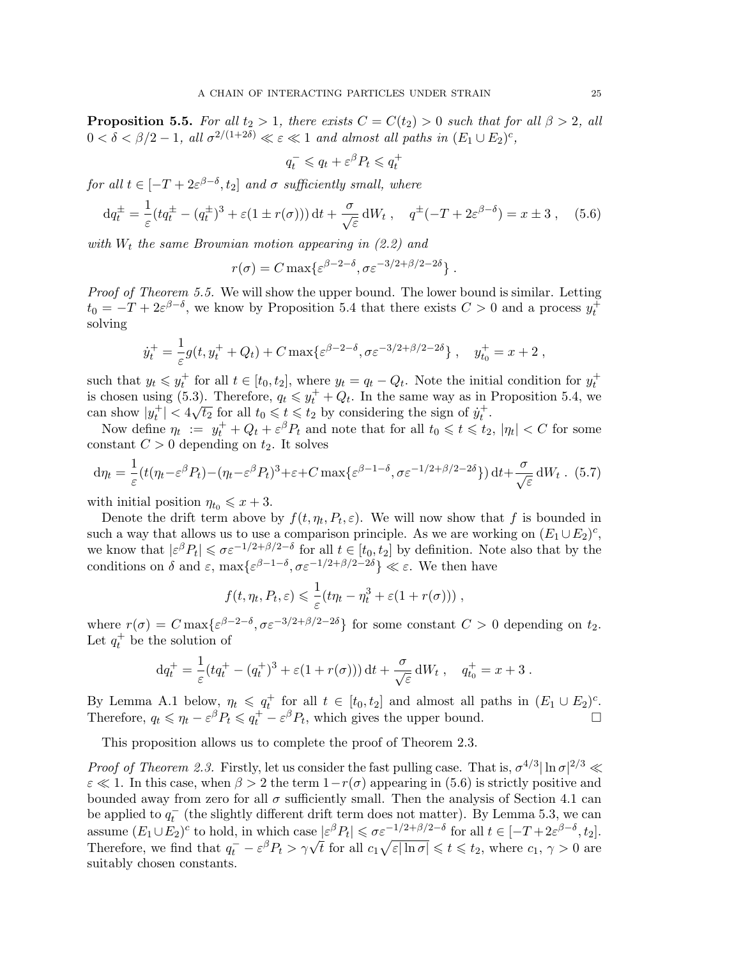**Proposition 5.5.** For all  $t_2 > 1$ , there exists  $C = C(t_2) > 0$  such that for all  $\beta > 2$ , all  $0 < \delta < \beta/2 - 1$ , all  $\sigma^{2/(1+2\delta)} \ll \varepsilon \ll 1$  and almost all paths in  $(E_1 \cup E_2)^c$ ,

$$
q_t^- \leqslant q_t + \varepsilon^\beta P_t \leqslant q_t^+
$$

for all  $t \in [-T + 2\varepsilon^{\beta-\delta}, t_2]$  and  $\sigma$  sufficiently small, where

$$
\mathrm{d}q_t^{\pm} = \frac{1}{\varepsilon}(tq_t^{\pm} - (q_t^{\pm})^3 + \varepsilon(1 \pm r(\sigma)))\,\mathrm{d}t + \frac{\sigma}{\sqrt{\varepsilon}}\,\mathrm{d}W_t\;, \quad q^{\pm}(-T + 2\varepsilon^{\beta-\delta}) = x \pm 3\;, \quad (5.6)
$$

with  $W_t$  the same Brownian motion appearing in  $(2.2)$  and

$$
r(\sigma) = C \max\{ \varepsilon^{\beta - 2 - \delta}, \sigma \varepsilon^{-3/2 + \beta/2 - 2\delta} \}.
$$

Proof of Theorem 5.5. We will show the upper bound. The lower bound is similar. Letting  $t_0 = -T + 2\varepsilon^{\beta-\delta}$ , we know by Proposition 5.4 that there exists  $C > 0$  and a process  $y_t^{\pm}$ solving

$$
\dot{y}_t^+ = \frac{1}{\varepsilon} g(t, y_t^+ + Q_t) + C \max\{\varepsilon^{\beta - 2 - \delta}, \sigma \varepsilon^{-3/2 + \beta/2 - 2\delta}\}, \quad y_{t_0}^+ = x + 2,
$$

such that  $y_t \leq y_t^+$  for all  $t \in [t_0, t_2]$ , where  $y_t = q_t - Q_t$ . Note the initial condition for  $y_t^+$ is chosen using (5.3). Therefore,  $q_t \leq y_t^+ + Q_t$ . In the same way as in Proposition 5.4, we can show  $|y_t^+| < 4\sqrt{t_2}$  for all  $t_0 \leq t \leq t_2$  by considering the sign of  $y_t^+$ .

Now define  $\eta_t := y_t^+ + Q_t + \varepsilon^\beta P_t$  and note that for all  $t_0 \leqslant t \leqslant t_2$ ,  $|\eta_t| < C$  for some constant  $C > 0$  depending on  $t_2$ . It solves

$$
d\eta_t = \frac{1}{\varepsilon} (t(\eta_t - \varepsilon^\beta P_t) - (\eta_t - \varepsilon^\beta P_t)^3 + \varepsilon + C \max\{\varepsilon^{\beta - 1 - \delta}, \sigma \varepsilon^{-1/2 + \beta/2 - 2\delta}\}) dt + \frac{\sigma}{\sqrt{\varepsilon}} dW_t
$$
 (5.7)

with initial position  $\eta_{t_0} \leqslant x + 3$ .

Denote the drift term above by  $f(t, \eta_t, P_t, \varepsilon)$ . We will now show that f is bounded in such a way that allows us to use a comparison principle. As we are working on  $(E_1 \cup E_2)^c$ , we know that  $|\varepsilon^{\beta} P_t| \leq \sigma \varepsilon^{-1/2+\beta/2-\delta}$  for all  $t \in [t_0, t_2]$  by definition. Note also that by the conditions on  $\delta$  and  $\varepsilon$ ,  $\max{\{\varepsilon^{\beta-1-\delta}, \sigma \varepsilon^{-1/2+\beta/2-2\delta}\}} \ll \varepsilon$ . We then have

$$
f(t, \eta_t, P_t, \varepsilon) \leq \frac{1}{\varepsilon} (t\eta_t - \eta_t^3 + \varepsilon (1 + r(\sigma)))
$$
,

where  $r(\sigma) = C \max\{\varepsilon^{\beta - 2 - \delta}, \sigma \varepsilon^{-3/2 + \beta/2 - 2\delta}\}\$ for some constant  $C > 0$  depending on  $t_2$ . Let  $q_t^+$  be the solution of

$$
\mathrm{d}q_t^+ = \frac{1}{\varepsilon}(t q_t^+ - (q_t^+)^3 + \varepsilon (1 + r(\sigma))) \, \mathrm{d}t + \frac{\sigma}{\sqrt{\varepsilon}} \, \mathrm{d}W_t \;, \quad q_{t_0}^+ = x + 3 \; .
$$

By Lemma A.1 below,  $\eta_t \leqslant q_t^+$  for all  $t \in [t_0, t_2]$  and almost all paths in  $(E_1 \cup E_2)^c$ . Therefore,  $q_t \leq \eta_t - \varepsilon^\beta P_t \leq q_t^+ - \varepsilon^\beta P_t$ , which gives the upper bound.

This proposition allows us to complete the proof of Theorem 2.3.

*Proof of Theorem 2.3.* Firstly, let us consider the fast pulling case. That is,  $\sigma^{4/3}|\ln \sigma|^{2/3} \ll$  $\varepsilon \ll 1$ . In this case, when  $\beta > 2$  the term  $1-r(\sigma)$  appearing in (5.6) is strictly positive and bounded away from zero for all  $\sigma$  sufficiently small. Then the analysis of Section 4.1 can be applied to  $q_t^-$  (the slightly different drift term does not matter). By Lemma 5.3, we can assume  $(E_1 \cup E_2)^c$  to hold, in which case  $|\varepsilon^\beta P_t| \leq \sigma \varepsilon^{-1/2 + \beta/2 - \delta}$  for all  $t \in [-T + 2\varepsilon^{\beta-\delta}, t_2]$ . Example  $(L_1 \cup L_2)$  to noid, in which case  $|\varepsilon| \cdot |t_1| \le \delta \varepsilon$  for all  $c_1 \sqrt{\varepsilon |\ln \sigma|} \le t \le t_2$ , where  $c_1, \gamma > 0$  are Therefore, we find that  $q_t^- - \varepsilon^\beta P_t > \gamma \sqrt{t}$  for all  $c_1 \sqrt{\varepsilon |\ln \sigma|} \le t \le t_2$ , where  $c_1, \gamma > 0$ suitably chosen constants.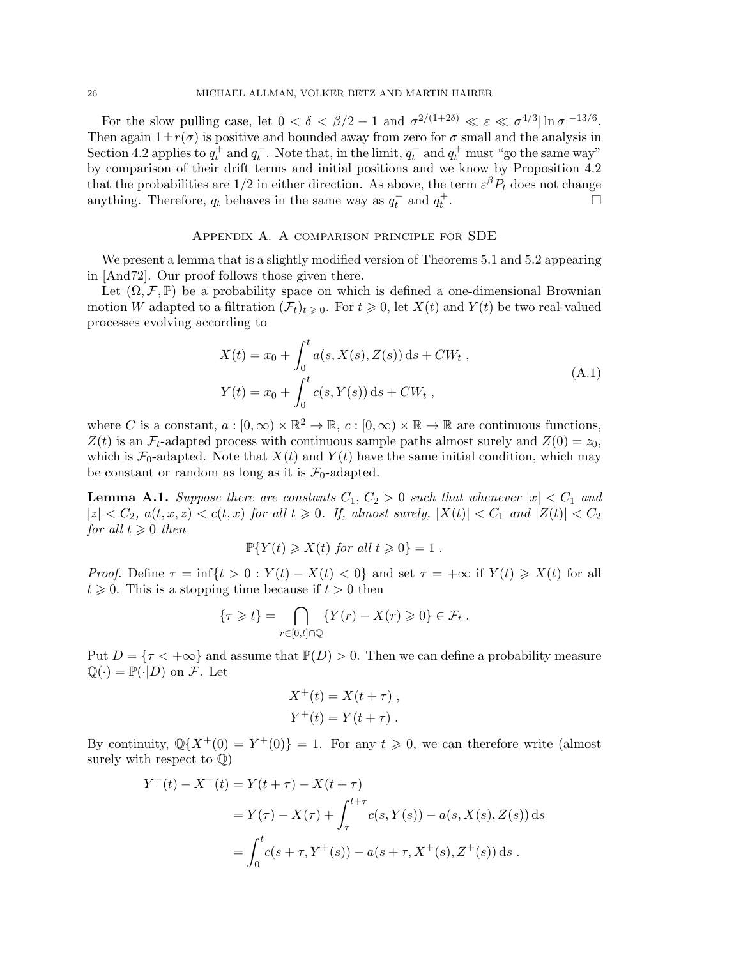For the slow pulling case, let  $0 < \delta < \beta/2 - 1$  and  $\sigma^{2/(1+2\delta)} \ll \varepsilon \ll \sigma^{4/3} |\ln \sigma|^{-13/6}$ . Then again  $1\pm r(\sigma)$  is positive and bounded away from zero for  $\sigma$  small and the analysis in Section 4.2 applies to  $q_t^+$  and  $q_t^-$ . Note that, in the limit,  $q_t^-$  and  $q_t^+$  must "go the same way" by comparison of their drift terms and initial positions and we know by Proposition 4.2 that the probabilities are  $1/2$  in either direction. As above, the term  $\varepsilon^{\beta}P_t$  does not change anything. Therefore,  $q_t$  behaves in the same way as  $q_t^-$  and  $q_t^+$ .

#### Appendix A. A comparison principle for SDE

We present a lemma that is a slightly modified version of Theorems 5.1 and 5.2 appearing in [And72]. Our proof follows those given there.

Let  $(\Omega, \mathcal{F}, \mathbb{P})$  be a probability space on which is defined a one-dimensional Brownian motion W adapted to a filtration  $(\mathcal{F}_t)_t \geq 0$ . For  $t \geq 0$ , let  $X(t)$  and  $Y(t)$  be two real-valued processes evolving according to

$$
X(t) = x_0 + \int_0^t a(s, X(s), Z(s)) ds + CW_t,
$$
  
\n
$$
Y(t) = x_0 + \int_0^t c(s, Y(s)) ds + CW_t,
$$
\n(A.1)

where C is a constant,  $a: [0, \infty) \times \mathbb{R}^2 \to \mathbb{R}, c: [0, \infty) \times \mathbb{R} \to \mathbb{R}$  are continuous functions,  $Z(t)$  is an  $\mathcal{F}_t$ -adapted process with continuous sample paths almost surely and  $Z(0) = z_0$ , which is  $\mathcal{F}_0$ -adapted. Note that  $X(t)$  and  $Y(t)$  have the same initial condition, which may be constant or random as long as it is  $\mathcal{F}_0$ -adapted.

**Lemma A.1.** Suppose there are constants  $C_1, C_2 > 0$  such that whenever  $|x| < C_1$  and  $|z| < C_2$ ,  $a(t, x, z) < c(t, x)$  for all  $t \ge 0$ . If, almost surely,  $|X(t)| < C_1$  and  $|Z(t)| < C_2$ for all  $t \geqslant 0$  then

$$
\mathbb{P}\{Y(t)\geqslant X(t) \text{ for all } t\geqslant 0\}=1.
$$

*Proof.* Define  $\tau = \inf\{t > 0 : Y(t) - X(t) < 0\}$  and set  $\tau = +\infty$  if  $Y(t) \geq X(t)$  for all  $t \geq 0$ . This is a stopping time because if  $t > 0$  then

$$
\{\tau \geqslant t\} = \bigcap_{r \in [0,t] \cap \mathbb{Q}} \{Y(r) - X(r) \geqslant 0\} \in \mathcal{F}_t \ .
$$

Put  $D = \{\tau < +\infty\}$  and assume that  $\mathbb{P}(D) > 0$ . Then we can define a probability measure  $\mathbb{Q}(\cdot) = \mathbb{P}(\cdot|D)$  on F. Let

$$
X^{+}(t) = X(t + \tau) ,
$$
  

$$
Y^{+}(t) = Y(t + \tau) .
$$

By continuity,  $\mathbb{Q}\{X^+(0) = Y^+(0)\} = 1$ . For any  $t \geq 0$ , we can therefore write (almost surely with respect to  $\mathbb{Q}$ )

$$
Y^+(t) - X^+(t) = Y(t + \tau) - X(t + \tau)
$$
  
=  $Y(\tau) - X(\tau) + \int_{\tau}^{t + \tau} c(s, Y(s)) - a(s, X(s), Z(s)) ds$   
=  $\int_0^t c(s + \tau, Y^+(s)) - a(s + \tau, X^+(s), Z^+(s)) ds.$